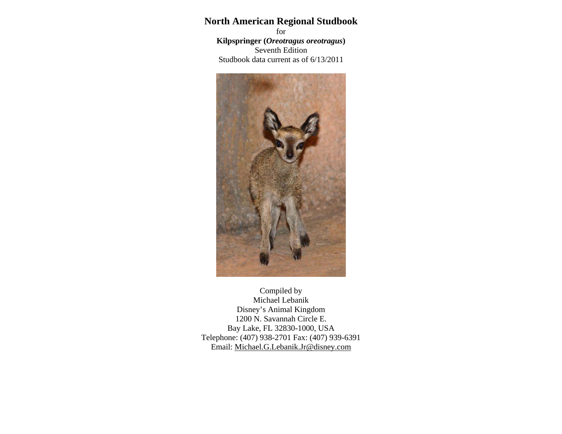# **North American Regional Studbook**

for **Kilpspringer (***Oreotragus oreotragus***)**  Seventh Edition Studbook data current as of 6/13/2011



Compiled by Michael Lebanik Disney's Animal Kingdom 1200 N. Savannah Circle E. Bay Lake, FL 32830-1000, USA Telephone: (407) 938-2701 Fax: (407) 939-6391 Email: Michael.G.Lebanik.Jr@disney.com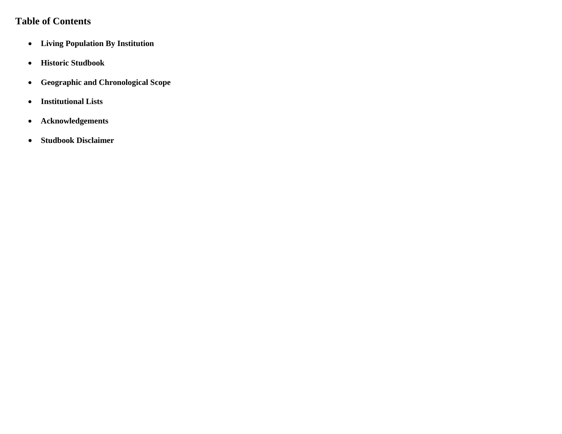# **Table of Contents**

- **Living Population By Institution**
- **Historic Studbook**
- $\bullet$ **Geographic and Chronological Scope**
- **Institutional Lists**
- $\bullet$ **Acknowledgements**
- $\bullet$ **Studbook Disclaimer**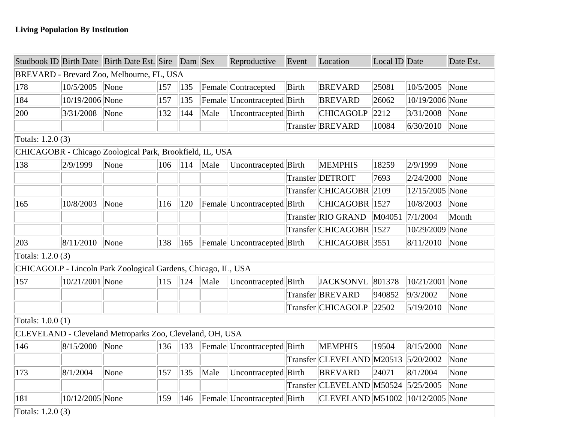|                    |                                                                                             | Studbook ID Birth Date Birth Date Est. Sire Dam Sex           |     |     |      | Reproductive                | Event | Location                            | Local ID Date |                 | Date Est. |  |  |  |  |
|--------------------|---------------------------------------------------------------------------------------------|---------------------------------------------------------------|-----|-----|------|-----------------------------|-------|-------------------------------------|---------------|-----------------|-----------|--|--|--|--|
|                    |                                                                                             | BREVARD - Brevard Zoo, Melbourne, FL, USA                     |     |     |      |                             |       |                                     |               |                 |           |  |  |  |  |
| 178                | 10/5/2005                                                                                   | $\sqrt{\frac{1}{2}}$ None                                     | 157 | 135 |      | Female Contracepted         | Birth | <b>BREVARD</b>                      | 25081         | 10/5/2005       | None      |  |  |  |  |
| 184                | 10/19/2006 None                                                                             |                                                               | 157 | 135 |      | Female Uncontracepted Birth |       | <b>BREVARD</b>                      | 26062         | 10/19/2006 None |           |  |  |  |  |
| 200                | 3/31/2008                                                                                   | $\sqrt{\frac{1}{2}}$                                          | 132 | 144 | Male | Uncontracepted Birth        |       | <b>CHICAGOLP</b>                    | 2212          | 3/31/2008       | None      |  |  |  |  |
|                    |                                                                                             |                                                               |     |     |      |                             |       | Transfer BREVARD                    | 10084         | 6/30/2010       | None      |  |  |  |  |
| Totals: $1.2.0(3)$ |                                                                                             |                                                               |     |     |      |                             |       |                                     |               |                 |           |  |  |  |  |
|                    |                                                                                             | CHICAGOBR - Chicago Zoological Park, Brookfield, IL, USA      |     |     |      |                             |       |                                     |               |                 |           |  |  |  |  |
| 138                | 2/9/1999                                                                                    | None                                                          | 106 | 114 | Male | Uncontracepted Birth        |       | <b>MEMPHIS</b>                      | 18259         | 2/9/1999        | None      |  |  |  |  |
|                    |                                                                                             |                                                               |     |     |      |                             |       | Transfer DETROIT                    | 7693          | 2/24/2000       | None      |  |  |  |  |
|                    | Transfer CHICAGOBR 2109<br>12/15/2005 None<br>Female Uncontracepted Birth<br>CHICAGOBR 1527 |                                                               |     |     |      |                             |       |                                     |               |                 |           |  |  |  |  |
| 165                | 10/8/2003                                                                                   | None                                                          | 116 | 120 |      |                             |       |                                     |               | 10/8/2003       | None      |  |  |  |  |
|                    |                                                                                             |                                                               |     |     |      |                             |       | Transfer RIO GRAND                  | M04051        | 7/1/2004        | Month     |  |  |  |  |
|                    |                                                                                             |                                                               |     |     |      |                             |       | Transfer CHICAGOBR 1527             |               | 10/29/2009 None |           |  |  |  |  |
| 203                | 8/11/2010 None                                                                              |                                                               | 138 | 165 |      | Female Uncontracepted Birth |       | $CHICAGOBR$ 3551                    |               | 8/11/2010       | None      |  |  |  |  |
| Totals: $1.2.0(3)$ |                                                                                             |                                                               |     |     |      |                             |       |                                     |               |                 |           |  |  |  |  |
|                    |                                                                                             | CHICAGOLP - Lincoln Park Zoological Gardens, Chicago, IL, USA |     |     |      |                             |       |                                     |               |                 |           |  |  |  |  |
| 157                | 10/21/2001 None                                                                             |                                                               | 115 | 124 | Male | Uncontracepted Birth        |       | JACKSONVL 801378                    |               | 10/21/2001 None |           |  |  |  |  |
|                    |                                                                                             |                                                               |     |     |      |                             |       | Transfer BREVARD                    | 940852        | 9/3/2002        | None      |  |  |  |  |
|                    |                                                                                             |                                                               |     |     |      |                             |       | Transfer CHICAGOLP                  | 22502         | 5/19/2010       | None      |  |  |  |  |
| Totals: 1.0.0 (1)  |                                                                                             |                                                               |     |     |      |                             |       |                                     |               |                 |           |  |  |  |  |
|                    |                                                                                             | CLEVELAND - Cleveland Metroparks Zoo, Cleveland, OH, USA      |     |     |      |                             |       |                                     |               |                 |           |  |  |  |  |
| 146                | 8/15/2000                                                                                   | None                                                          | 136 | 133 |      | Female Uncontracepted Birth |       | <b>MEMPHIS</b>                      | 19504         | 8/15/2000       | None      |  |  |  |  |
|                    |                                                                                             |                                                               |     |     |      |                             |       | Transfer CLEVELAND M20513           |               | 5/20/2002       | None      |  |  |  |  |
| 173                | 8/1/2004                                                                                    | None                                                          | 157 | 135 | Male | Uncontracepted Birth        |       | <b>BREVARD</b>                      | 24071         | 8/1/2004        | None      |  |  |  |  |
|                    |                                                                                             |                                                               |     |     |      |                             |       | Transfer CLEVELAND M50524 5/25/2005 |               |                 | None      |  |  |  |  |
| 181                | 10/12/2005 None                                                                             |                                                               | 159 | 146 |      | Female Uncontracepted Birth |       | CLEVELAND M51002 10/12/2005 None    |               |                 |           |  |  |  |  |
| Totals: $1.2.0(3)$ |                                                                                             |                                                               |     |     |      |                             |       |                                     |               |                 |           |  |  |  |  |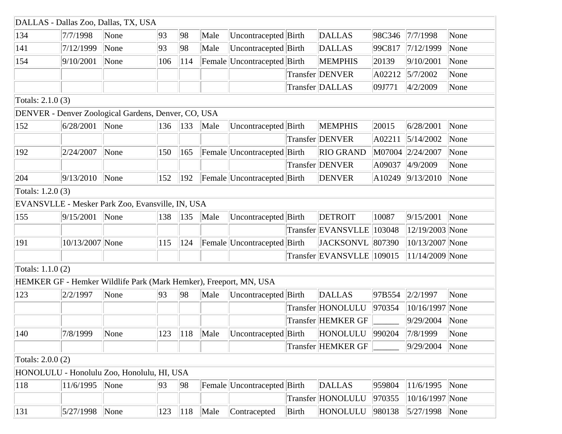|                    | DALLAS - Dallas Zoo, Dallas, TX, USA                              |      |     |     |                        |                                               |       |                           |        |                   |                           |
|--------------------|-------------------------------------------------------------------|------|-----|-----|------------------------|-----------------------------------------------|-------|---------------------------|--------|-------------------|---------------------------|
| 134                | 7/7/1998                                                          | None | 93  | 98  | Male                   | Uncontracepted Birth                          |       | <b>DALLAS</b>             | 98C346 | 7/7/1998          | None                      |
| 141                | 7/12/1999                                                         | None | 93  | 98  | Male                   | Uncontracepted Birth                          |       | <b>DALLAS</b>             | 99C817 | 7/12/1999         | None                      |
| 154                | 9/10/2001                                                         | None | 106 | 114 |                        | Female Uncontracepted Birth                   |       | <b>MEMPHIS</b>            | 20139  | 9/10/2001         | None                      |
|                    |                                                                   |      |     |     |                        |                                               |       | Transfer DENVER           | A02212 | 5/7/2002          | None                      |
|                    |                                                                   |      |     |     |                        |                                               |       | Transfer DALLAS           | 09J771 | 4/2/2009          | None                      |
| Totals: 2.1.0 (3)  |                                                                   |      |     |     |                        |                                               |       |                           |        |                   |                           |
|                    | DENVER - Denver Zoological Gardens, Denver, CO, USA               |      |     |     |                        |                                               |       |                           |        |                   |                           |
| 152                | 6/28/2001                                                         | None | 136 | 133 | Male                   | Uncontracepted Birth                          |       | <b>MEMPHIS</b>            | 20015  | 6/28/2001         | None                      |
|                    |                                                                   |      |     |     |                        |                                               |       | Transfer DENVER           | A02211 | 5/14/2002         | None                      |
| 192                | 2/24/2007                                                         | None | 150 | 165 |                        | Female Uncontracepted Birth                   |       | <b>RIO GRAND</b>          |        | M07004 2/24/2007  | None                      |
|                    |                                                                   |      |     |     |                        |                                               |       | Transfer DENVER           | A09037 | 4/9/2009          | None                      |
| 204                | 9/13/2010                                                         | None | 152 | 192 |                        | Female Uncontracepted Birth                   |       | <b>DENVER</b>             | A10249 | 9/13/2010         | None                      |
| Totals: 1.2.0 (3)  |                                                                   |      |     |     |                        |                                               |       |                           |        |                   |                           |
|                    | EVANSVLLE - Mesker Park Zoo, Evansville, IN, USA                  |      |     |     |                        |                                               |       |                           |        |                   |                           |
| 155                | 9/15/2001                                                         | None | 138 | 135 | Male                   | Uncontracepted Birth                          |       | <b>DETROIT</b>            | 10087  | 9/15/2001         | None                      |
|                    |                                                                   |      |     |     |                        |                                               |       | Transfer EVANSVLLE        | 103048 | 12/19/2003 None   |                           |
| 191                | 10/13/2007 None                                                   |      | 115 | 124 |                        | Female Uncontracepted Birth                   |       | JACKSONVL 807390          |        | 10/13/2007 None   |                           |
|                    |                                                                   |      |     |     |                        |                                               |       | Transfer EVANSVLLE 109015 |        | $11/14/2009$ None |                           |
| Totals: $1.1.0(2)$ |                                                                   |      |     |     |                        |                                               |       |                           |        |                   |                           |
|                    | HEMKER GF - Hemker Wildlife Park (Mark Hemker), Freeport, MN, USA |      |     |     |                        |                                               |       |                           |        |                   |                           |
| 123                | 2/2/1997                                                          | None | 93  | 98  | Male                   | Uncontracepted Birth                          |       | <b>DALLAS</b>             | 97B554 | 2/2/1997          | None                      |
|                    |                                                                   |      |     |     |                        |                                               |       | Transfer HONOLULU         | 970354 | 10/16/1997 None   |                           |
|                    |                                                                   |      |     |     |                        |                                               |       | Transfer HEMKER GF        |        | 9/29/2004         | None                      |
| $ 140\rangle$      | $\sqrt{7/8/1999}$ None                                            |      |     |     | $\boxed{123}$ 118 Male | Uncontracepted Birth HONOLULU 990204 7/8/1999 |       |                           |        |                   | $\sqrt{\frac{1}{2}}$ None |
|                    |                                                                   |      |     |     |                        |                                               |       | <b>Transfer HEMKER GF</b> |        | 9/29/2004         | None                      |
| Totals: 2.0.0 (2)  |                                                                   |      |     |     |                        |                                               |       |                           |        |                   |                           |
|                    | HONOLULU - Honolulu Zoo, Honolulu, HI, USA                        |      |     |     |                        |                                               |       |                           |        |                   |                           |
| 118                | 11/6/1995                                                         | None | 93  | 98  |                        | Female Uncontracepted Birth                   |       | <b>DALLAS</b>             | 959804 | 11/6/1995         | None                      |
|                    |                                                                   |      |     |     |                        |                                               |       | Transfer HONOLULU         | 970355 | 10/16/1997 None   |                           |
| 131                | 5/27/1998                                                         | None | 123 | 118 | Male                   | Contracepted                                  | Birth | HONOLULU                  | 980138 | 5/27/1998         | None                      |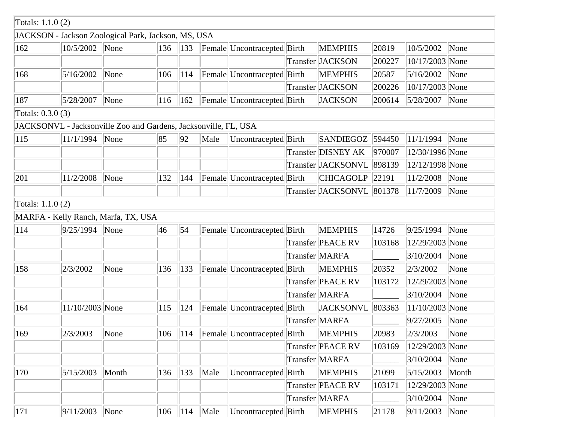| Totals: $1.1.0(2)$ |                                                                 |       |     |               |      |                                             |                           |        |                     |                           |
|--------------------|-----------------------------------------------------------------|-------|-----|---------------|------|---------------------------------------------|---------------------------|--------|---------------------|---------------------------|
|                    | JACKSON - Jackson Zoological Park, Jackson, MS, USA             |       |     |               |      |                                             |                           |        |                     |                           |
| 162                | 10/5/2002                                                       | None  | 136 | 133           |      | Female Uncontracepted Birth                 | <b>MEMPHIS</b>            | 20819  | 10/5/2002           | None                      |
|                    |                                                                 |       |     |               |      |                                             | Transfer JACKSON          | 200227 | 10/17/2003 None     |                           |
| 168                | 5/16/2002                                                       | None  | 106 | 114           |      | Female Uncontracepted Birth                 | <b>MEMPHIS</b>            | 20587  | 5/16/2002           | None                      |
|                    |                                                                 |       |     |               |      |                                             | Transfer JACKSON          | 200226 | 10/17/2003 None     |                           |
| 187                | 5/28/2007                                                       | None  | 116 | 162           |      | Female Uncontracepted Birth                 | <b>JACKSON</b>            | 200614 | 5/28/2007           | None                      |
| Totals: 0.3.0 (3)  |                                                                 |       |     |               |      |                                             |                           |        |                     |                           |
|                    | JACKSONVL - Jacksonville Zoo and Gardens, Jacksonville, FL, USA |       |     |               |      |                                             |                           |        |                     |                           |
| 115                | 11/1/1994                                                       | None  | 85  | 92            | Male | Uncontracepted Birth                        | SANDIEGOZ 594450          |        | 11/1/1994           | None                      |
|                    |                                                                 |       |     |               |      |                                             | Transfer DISNEY AK        | 970007 | 12/30/1996 None     |                           |
|                    |                                                                 |       |     |               |      |                                             | Transfer JACKSONVL 898139 |        | 12/12/1998 None     |                           |
| 201                | 11/2/2008                                                       | None  | 132 | 144           |      | Female Uncontracepted Birth                 | <b>CHICAGOLP</b>          | 22191  | 11/2/2008           | None                      |
|                    |                                                                 |       |     |               |      |                                             | Transfer JACKSONVL 801378 |        | 11/7/2009           | None                      |
| Totals: 1.1.0 (2)  |                                                                 |       |     |               |      |                                             |                           |        |                     |                           |
|                    | MARFA - Kelly Ranch, Marfa, TX, USA                             |       |     |               |      |                                             |                           |        |                     |                           |
| 114                | 9/25/1994                                                       | None  | 46  | 54            |      | Female Uncontracepted Birth                 | <b>MEMPHIS</b>            | 14726  | 9/25/1994           | None                      |
|                    |                                                                 |       |     |               |      |                                             | Transfer PEACE RV         | 103168 | 12/29/2003 None     |                           |
|                    |                                                                 |       |     |               |      |                                             | Transfer MARFA            |        | 3/10/2004           | None                      |
| 158                | 2/3/2002                                                        | None  | 136 | 133           |      | Female Uncontracepted Birth                 | <b>MEMPHIS</b>            | 20352  | 2/3/2002            | None                      |
|                    |                                                                 |       |     |               |      |                                             | Transfer PEACE RV         | 103172 | 12/29/2003 None     |                           |
|                    |                                                                 |       |     |               |      |                                             | Transfer MARFA            |        | 3/10/2004           | None                      |
| 164                | 11/10/2003 None                                                 |       | 115 | 124           |      | Female Uncontracepted Birth                 | <b>JACKSONVL</b>          | 803363 | $ 11/10/2003 $ None |                           |
|                    |                                                                 |       |     |               |      |                                             | Transfer MARFA            |        | 9/27/2005           | None                      |
| $ 169\rangle$      | $2/3/2003$ None                                                 |       |     |               |      | 106 114 Female Uncontracepted Birth MEMPHIS |                           | 20983  | 2/3/2003            | $\sqrt{\frac{1}{2}}$ None |
|                    |                                                                 |       |     |               |      |                                             | Transfer PEACE RV         | 103169 | 12/29/2003 None     |                           |
|                    |                                                                 |       |     |               |      |                                             | Transfer MARFA            |        | 3/10/2004           | None                      |
| 170                | 5/15/2003                                                       | Month | 136 | $ 133\rangle$ | Male | Uncontracepted Birth                        | <b>MEMPHIS</b>            | 21099  | 5/15/2003           | Month                     |
|                    |                                                                 |       |     |               |      |                                             | Transfer PEACE RV         | 103171 | 12/29/2003 None     |                           |
|                    |                                                                 |       |     |               |      |                                             | Transfer MARFA            |        | 3/10/2004           | None                      |
| 171                | 9/11/2003                                                       | None  | 106 | 114           | Male | Uncontracepted Birth                        | <b>MEMPHIS</b>            | 21178  | 9/11/2003           | None                      |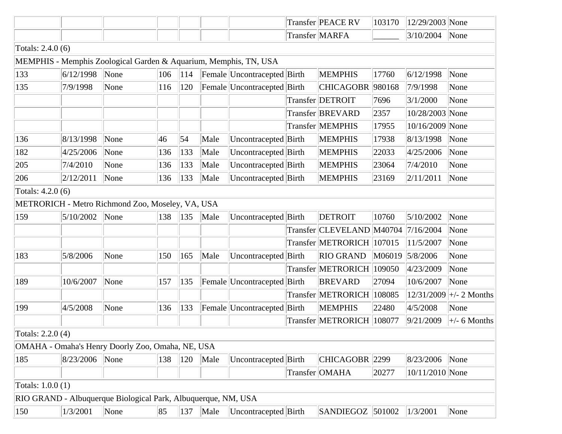|                    |                                                                  |      |     |     |      |                             |       | Transfer PEACE RV         | 103170 | 12/29/2003 None |                             |
|--------------------|------------------------------------------------------------------|------|-----|-----|------|-----------------------------|-------|---------------------------|--------|-----------------|-----------------------------|
|                    |                                                                  |      |     |     |      |                             |       | Transfer MARFA            |        | 3/10/2004       | None                        |
| Totals: 2.4.0 (6)  |                                                                  |      |     |     |      |                             |       |                           |        |                 |                             |
|                    | MEMPHIS - Memphis Zoological Garden & Aquarium, Memphis, TN, USA |      |     |     |      |                             |       |                           |        |                 |                             |
| 133                | 6/12/1998                                                        | None | 106 | 114 |      | Female Uncontracepted Birth |       | <b>MEMPHIS</b>            | 17760  | 6/12/1998       | None                        |
| 135                | 7/9/1998                                                         | None | 116 | 120 |      | Female Uncontracepted Birth |       | <b>CHICAGOBR</b>          | 980168 | 7/9/1998        | None                        |
|                    |                                                                  |      |     |     |      |                             |       | Transfer DETROIT          | 7696   | 3/1/2000        | None                        |
|                    |                                                                  |      |     |     |      |                             |       | Transfer BREVARD          | 2357   | 10/28/2003 None |                             |
|                    |                                                                  |      |     |     |      |                             |       | Transfer MEMPHIS          | 17955  | 10/16/2009 None |                             |
| 136                | 8/13/1998                                                        | None | 46  | 54  | Male | Uncontracepted Birth        |       | <b>MEMPHIS</b>            | 17938  | 8/13/1998       | None                        |
| 182                | 4/25/2006                                                        | None | 136 | 133 | Male | Uncontracepted Birth        |       | <b>MEMPHIS</b>            | 22033  | 4/25/2006       | None                        |
| 205                | 7/4/2010                                                         | None | 136 | 133 | Male | Uncontracepted Birth        |       | <b>MEMPHIS</b>            | 23064  | 7/4/2010        | None                        |
| 206                | 2/12/2011                                                        | None | 136 | 133 | Male | Uncontracepted Birth        |       | <b>MEMPHIS</b>            | 23169  | 2/11/2011       | None                        |
| Totals: 4.2.0 (6)  |                                                                  |      |     |     |      |                             |       |                           |        |                 |                             |
|                    | METRORICH - Metro Richmond Zoo, Moseley, VA, USA                 |      |     |     |      |                             |       |                           |        |                 |                             |
| 159                | 5/10/2002                                                        | None | 138 | 135 | Male | Uncontracepted Birth        |       | <b>DETROIT</b>            | 10760  | 5/10/2002       | None                        |
|                    |                                                                  |      |     |     |      |                             |       | Transfer CLEVELAND M40704 |        | 7/16/2004       | None                        |
|                    |                                                                  |      |     |     |      |                             |       | Transfer METRORICH 107015 |        | 11/5/2007       | None                        |
| 183                | 5/8/2006                                                         | None | 150 | 165 | Male | Uncontracepted              | Birth | <b>RIO GRAND</b>          | M06019 | 5/8/2006        | None                        |
|                    |                                                                  |      |     |     |      |                             |       | Transfer METRORICH        | 109050 | 4/23/2009       | None                        |
| 189                | 10/6/2007                                                        | None | 157 | 135 |      | Female Uncontracepted Birth |       | <b>BREVARD</b>            | 27094  | 10/6/2007       | None                        |
|                    |                                                                  |      |     |     |      |                             |       | Transfer METRORICH        | 108085 | 12/31/2009      | $\left +\right/$ - 2 Months |
| 199                | 4/5/2008                                                         | None | 136 | 133 |      | Female Uncontracepted Birth |       | <b>MEMPHIS</b>            | 22480  | 4/5/2008        | None                        |
|                    |                                                                  |      |     |     |      |                             |       | <b>Transfer METRORICH</b> | 108077 | 9/21/2009       | $\pm$ /- 6 Months           |
| Totals: $2.2.0(4)$ |                                                                  |      |     |     |      |                             |       |                           |        |                 |                             |
|                    | OMAHA - Omaha's Henry Doorly Zoo, Omaha, NE, USA                 |      |     |     |      |                             |       |                           |        |                 |                             |
| 185                | 8/23/2006                                                        | None | 138 | 120 | Male | Uncontracepted Birth        |       | CHICAGOBR 2299            |        | 8/23/2006       | None                        |
|                    |                                                                  |      |     |     |      |                             |       | Transfer OMAHA            | 20277  | 10/11/2010 None |                             |
| Totals: $1.0.0(1)$ |                                                                  |      |     |     |      |                             |       |                           |        |                 |                             |
|                    | RIO GRAND - Albuquerque Biological Park, Albuquerque, NM, USA    |      |     |     |      |                             |       |                           |        |                 |                             |
| 150                | 1/3/2001                                                         | None | 85  | 137 | Male | Uncontracepted Birth        |       | SANDIEGOZ 501002          |        | 1/3/2001        | None                        |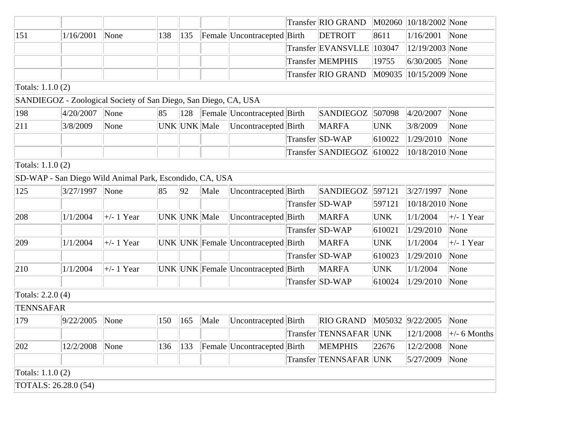|                      |           |                                                                 |     |              |      |                                     | Transfer RIO GRAND     | M02060     | $ 10/18/2002 $ None    |                                        |
|----------------------|-----------|-----------------------------------------------------------------|-----|--------------|------|-------------------------------------|------------------------|------------|------------------------|----------------------------------------|
| 151                  | 1/16/2001 | None                                                            | 138 | 135          |      | Female Uncontracepted Birth         | <b>DETROIT</b>         | 8611       | 1/16/2001              | None                                   |
|                      |           |                                                                 |     |              |      |                                     | Transfer EVANSVLLE     | 103047     | 12/19/2003 None        |                                        |
|                      |           |                                                                 |     |              |      |                                     | Transfer MEMPHIS       | 19755      | 6/30/2005              | None                                   |
|                      |           |                                                                 |     |              |      |                                     | Transfer RIO GRAND     |            | M09035 10/15/2009 None |                                        |
| Totals: 1.1.0 (2)    |           |                                                                 |     |              |      |                                     |                        |            |                        |                                        |
|                      |           | SANDIEGOZ - Zoological Society of San Diego, San Diego, CA, USA |     |              |      |                                     |                        |            |                        |                                        |
| 198                  | 4/20/2007 | None                                                            | 85  | 128          |      | Female Uncontracepted Birth         | SANDIEGOZ              | 507098     | 4/20/2007              | None                                   |
| 211                  | 3/8/2009  | None                                                            |     | UNK UNK Male |      | Uncontracepted Birth                | <b>MARFA</b>           | <b>UNK</b> | 3/8/2009               | None                                   |
|                      |           |                                                                 |     |              |      |                                     | Transfer SD-WAP        | 610022     | 1/29/2010              | None                                   |
|                      |           |                                                                 |     |              |      |                                     | Transfer SANDIEGOZ     | 610022     | 10/18/2010 None        |                                        |
| Totals: 1.1.0 (2)    |           |                                                                 |     |              |      |                                     |                        |            |                        |                                        |
|                      |           | SD-WAP - San Diego Wild Animal Park, Escondido, CA, USA         |     |              |      |                                     |                        |            |                        |                                        |
| 125                  | 3/27/1997 | $\sqrt{\frac{1}{2}}$ None                                       | 85  | 92           | Male | Uncontracepted Birth                | <b>SANDIEGOZ</b>       | 597121     | 3/27/1997              | None                                   |
|                      |           |                                                                 |     |              |      |                                     | Transfer SD-WAP        | 597121     | 10/18/2010 None        |                                        |
| 208                  | 1/1/2004  | $\left  + \right $ 1 Year                                       |     | UNK UNK Male |      | Uncontracepted Birth                | <b>MARFA</b>           | <b>UNK</b> | 1/1/2004               | $\pm$ - 1 Year                         |
|                      |           |                                                                 |     |              |      |                                     | Transfer SD-WAP        | 610021     | 1/29/2010              | None                                   |
| 209                  | 1/1/2004  | $\left  + \right $ 1 Year                                       |     |              |      | UNK UNK Female Uncontracepted Birth | <b>MARFA</b>           | <b>UNK</b> | 1/1/2004               | $\pm$ - 1 Year                         |
|                      |           |                                                                 |     |              |      |                                     | Transfer SD-WAP        | 610023     | 1/29/2010              | None                                   |
| 210                  | 1/1/2004  | $\left  + \right $ 1 Year                                       |     |              |      | UNK UNK Female Uncontracepted Birth | <b>MARFA</b>           | <b>UNK</b> | 1/1/2004               | None                                   |
|                      |           |                                                                 |     |              |      |                                     | Transfer SD-WAP        | 610024     | 1/29/2010              | None                                   |
| Totals: 2.2.0 (4)    |           |                                                                 |     |              |      |                                     |                        |            |                        |                                        |
| <b>TENNSAFAR</b>     |           |                                                                 |     |              |      |                                     |                        |            |                        |                                        |
| 179                  | 9/22/2005 | None                                                            | 150 | 165          | Male | Uncontracepted Birth                | <b>RIO GRAND</b>       |            | M05032 9/22/2005       | None                                   |
|                      |           |                                                                 |     |              |      |                                     | Transfer TENNSAFAR UNK |            | 12/1/2008              | $\left  +/ - 6 \text{ months} \right $ |
| 202                  | 12/2/2008 | None                                                            | 136 | 133          |      | Female Uncontracepted Birth         | <b>MEMPHIS</b>         | 22676      | 12/2/2008              | $\sqrt{\frac{1}{1}}$ None              |
|                      |           |                                                                 |     |              |      |                                     | Transfer TENNSAFAR UNK |            | 5/27/2009              | None                                   |
| Totals: 1.1.0 (2)    |           |                                                                 |     |              |      |                                     |                        |            |                        |                                        |
| TOTALS: 26.28.0 (54) |           |                                                                 |     |              |      |                                     |                        |            |                        |                                        |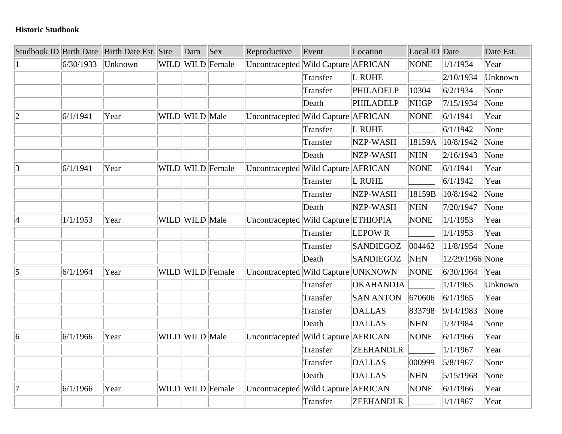#### **Historic Studbook**

|                 |           | Studbook ID Birth Date Birth Date Est. Sire | Dam            | <b>Sex</b>       | Reproductive                         | Event    | Location         | Local ID Date |                 | Date Est. |
|-----------------|-----------|---------------------------------------------|----------------|------------------|--------------------------------------|----------|------------------|---------------|-----------------|-----------|
|                 | 6/30/1933 | Unknown                                     |                | WILD WILD Female | Uncontracepted Wild Capture AFRICAN  |          |                  | NONE          | 1/1/1934        | Year      |
|                 |           |                                             |                |                  |                                      | Transfer | L RUHE           |               | 2/10/1934       | Unknown   |
|                 |           |                                             |                |                  |                                      | Transfer | PHILADELP        | 10304         | 6/2/1934        | None      |
|                 |           |                                             |                |                  |                                      | Death    | PHILADELP        | <b>NHGP</b>   | 7/15/1934       | None      |
| $ 2\rangle$     | 6/1/1941  | Year                                        | WILD WILD Male |                  | Uncontracepted Wild Capture AFRICAN  |          |                  | <b>NONE</b>   | 6/1/1941        | Year      |
|                 |           |                                             |                |                  |                                      | Transfer | L RUHE           |               | 6/1/1942        | None      |
|                 |           |                                             |                |                  |                                      | Transfer | NZP-WASH         | 18159A        | 10/8/1942       | None      |
|                 |           |                                             |                |                  |                                      | Death    | NZP-WASH         | <b>NHN</b>    | 2/16/1943       | None      |
| 3               | 6/1/1941  | Year                                        |                | WILD WILD Female | Uncontracepted Wild Capture AFRICAN  |          |                  | <b>NONE</b>   | 6/1/1941        | Year      |
|                 |           |                                             |                |                  |                                      | Transfer | L RUHE           |               | 6/1/1942        | Year      |
|                 |           |                                             |                |                  |                                      | Transfer | NZP-WASH         | 18159B        | 10/8/1942       | None      |
|                 |           |                                             |                |                  |                                      | Death    | NZP-WASH         | <b>NHN</b>    | 7/20/1947       | None      |
| 4               | 1/1/1953  | Year                                        | WILD WILD Male |                  | Uncontracepted Wild Capture ETHIOPIA |          |                  | <b>NONE</b>   | 1/1/1953        | Year      |
|                 |           |                                             |                |                  |                                      | Transfer | <b>LEPOWR</b>    |               | 1/1/1953        | Year      |
|                 |           |                                             |                |                  |                                      | Transfer | <b>SANDIEGOZ</b> | 004462        | 11/8/1954       | None      |
|                 |           |                                             |                |                  |                                      | Death    | <b>SANDIEGOZ</b> | <b>NHN</b>    | 12/29/1966 None |           |
| 5               | 6/1/1964  | Year                                        |                | WILD WILD Female | Uncontracepted Wild Capture UNKNOWN  |          |                  | <b>NONE</b>   | 6/30/1964       | Year      |
|                 |           |                                             |                |                  |                                      | Transfer | <b>OKAHANDJA</b> |               | 1/1/1965        | Unknown   |
|                 |           |                                             |                |                  |                                      | Transfer | <b>SAN ANTON</b> | 670606        | 6/1/1965        | Year      |
|                 |           |                                             |                |                  |                                      | Transfer | <b>DALLAS</b>    | 833798        | 9/14/1983       | None      |
|                 |           |                                             |                |                  |                                      | Death    | <b>DALLAS</b>    | <b>NHN</b>    | 1/3/1984        | None      |
| $\vert 6 \vert$ | 6/1/1966  | Year                                        | WILD WILD Male |                  | Uncontracepted Wild Capture AFRICAN  |          |                  | <b>NONE</b>   | 6/1/1966        | Year      |
|                 |           |                                             |                |                  |                                      | Transfer | <b>ZEEHANDLR</b> |               | 1/1/1967        | Year      |
|                 |           |                                             |                |                  |                                      | Transfer | <b>DALLAS</b>    | 000999        | 5/8/1967        | None      |
|                 |           |                                             |                |                  |                                      | Death    | DALLAS           | <b>NHN</b>    | 5/15/1968       | None      |
| 17              | 6/1/1966  | Year                                        |                | WILD WILD Female | Uncontracepted Wild Capture AFRICAN  |          |                  | NONE          | 6/1/1966        | Year      |
|                 |           |                                             |                |                  |                                      | Transfer | <b>ZEEHANDLR</b> |               | 1/1/1967        | Year      |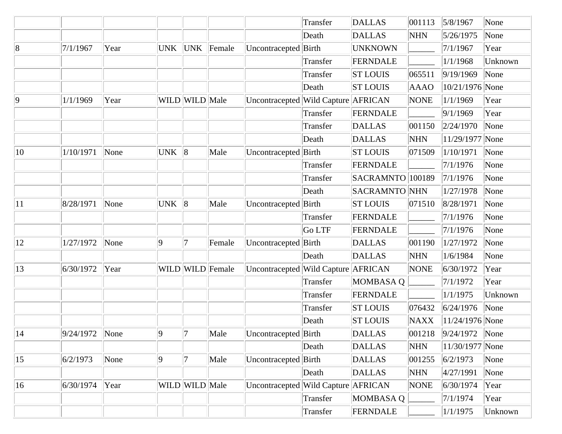|              |                  |      |                 |                |                  |                                     | Transfer | <b>DALLAS</b>    | 001113      | 5/8/1967                   | None    |
|--------------|------------------|------|-----------------|----------------|------------------|-------------------------------------|----------|------------------|-------------|----------------------------|---------|
|              |                  |      |                 |                |                  |                                     | Death    | <b>DALLAS</b>    | <b>NHN</b>  | 5/26/1975                  | None    |
| 8            | 7/1/1967         | Year | <b>UNK</b>      | UNK            | Female           | Uncontracepted Birth                |          | <b>UNKNOWN</b>   |             | 7/1/1967                   | Year    |
|              |                  |      |                 |                |                  |                                     | Transfer | FERNDALE         |             | 1/1/1968                   | Unknown |
|              |                  |      |                 |                |                  |                                     | Transfer | <b>ST LOUIS</b>  | 065511      | 9/19/1969                  | None    |
|              |                  |      |                 |                |                  |                                     | Death    | <b>ST LOUIS</b>  | <b>AAAO</b> | 10/21/1976 None            |         |
| $ 9\rangle$  | 1/1/1969         | Year |                 | WILD WILD Male |                  | Uncontracepted Wild Capture AFRICAN |          |                  | <b>NONE</b> | 1/1/1969                   | Year    |
|              |                  |      |                 |                |                  |                                     | Transfer | FERNDALE         |             | 9/1/1969                   | Year    |
|              |                  |      |                 |                |                  |                                     | Transfer | <b>DALLAS</b>    | 001150      | 2/24/1970                  | None    |
|              |                  |      |                 |                |                  |                                     | Death    | <b>DALLAS</b>    | <b>NHN</b>  | 11/29/1977 None            |         |
| $ 10\rangle$ | 1/10/1971        | None | <b>UNK</b>      | $\ 8$          | Male             | Uncontracepted Birth                |          | <b>ST LOUIS</b>  | 071509      | 1/10/1971                  | None    |
|              |                  |      |                 |                |                  |                                     | Transfer | FERNDALE         |             | 7/1/1976                   | None    |
|              |                  |      |                 |                |                  |                                     | Transfer | SACRAMNTO 100189 |             | 7/1/1976                   | None    |
|              |                  |      |                 |                |                  |                                     | Death    | SACRAMNTO NHN    |             | 1/27/1978                  | None    |
| 11           | 8/28/1971        | None | <b>UNK</b>      | 8              | Male             | Uncontracepted Birth                |          | <b>ST LOUIS</b>  | 071510      | 8/28/1971                  | None    |
|              |                  |      |                 |                |                  |                                     | Transfer | FERNDALE         |             | 7/1/1976                   | None    |
|              |                  |      |                 |                |                  |                                     | Go LTF   | FERNDALE         |             | 7/1/1976                   | None    |
| 12           | 1/27/1972        | None | 9               | 17             | Female           | Uncontracepted                      | Birth    | <b>DALLAS</b>    | 001190      | 1/27/1972                  | None    |
|              |                  |      |                 |                |                  |                                     | Death    | <b>DALLAS</b>    | <b>NHN</b>  | 1/6/1984                   | None    |
| 13           | 6/30/1972        | Year |                 |                | WILD WILD Female | Uncontracepted Wild Capture AFRICAN |          |                  | <b>NONE</b> | 6/30/1972                  | Year    |
|              |                  |      |                 |                |                  |                                     | Transfer | <b>MOMBASA Q</b> |             | 7/1/1972                   | Year    |
|              |                  |      |                 |                |                  |                                     | Transfer | FERNDALE         |             | 1/1/1975                   | Unknown |
|              |                  |      |                 |                |                  |                                     | Transfer | <b>ST LOUIS</b>  | 076432      | 6/24/1976                  | None    |
|              |                  |      |                 |                |                  |                                     | Death    | <b>ST LOUIS</b>  | <b>NAXX</b> | 11/24/1976 None            |         |
| 14           | $9/24/1972$ None |      | $\vert 9 \vert$ | 7              | Male             | Uncontracepted Birth                |          | <b>DALLAS</b>    |             | $ 001218$  9/24/1972  None |         |
|              |                  |      |                 |                |                  |                                     | Death    | DALLAS           | <b>NHN</b>  | 11/30/1977 None            |         |
| $ 15\rangle$ | 6/2/1973         | None | 9               | 17             | Male             | Uncontracepted Birth                |          | <b>DALLAS</b>    | 001255      | 6/2/1973                   | None    |
|              |                  |      |                 |                |                  |                                     | Death    | DALLAS           | <b>NHN</b>  | 4/27/1991                  | None    |
| $ 16\rangle$ | 6/30/1974        | Year |                 | WILD WILD Male |                  | Uncontracepted Wild Capture AFRICAN |          |                  | <b>NONE</b> | 6/30/1974                  | Year    |
|              |                  |      |                 |                |                  |                                     | Transfer | <b>MOMBASA Q</b> |             | 7/1/1974                   | Year    |
|              |                  |      |                 |                |                  |                                     | Transfer | FERNDALE         |             | 1/1/1975                   | Unknown |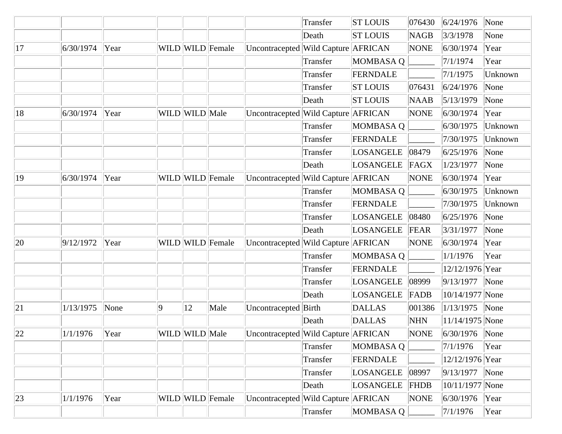|              |           |      |   |                |                  |                                     | Transfer | <b>ST LOUIS</b>  | 076430      | 6/24/1976          | None                      |
|--------------|-----------|------|---|----------------|------------------|-------------------------------------|----------|------------------|-------------|--------------------|---------------------------|
|              |           |      |   |                |                  |                                     | Death    | <b>ST LOUIS</b>  | <b>NAGB</b> | 3/3/1978           | None                      |
| 17           | 6/30/1974 | Year |   |                | WILD WILD Female | Uncontracepted Wild Capture AFRICAN |          |                  | <b>NONE</b> | 6/30/1974          | Year                      |
|              |           |      |   |                |                  |                                     | Transfer | <b>MOMBASA Q</b> |             | 7/1/1974           | Year                      |
|              |           |      |   |                |                  |                                     | Transfer | FERNDALE         |             | 7/1/1975           | Unknown                   |
|              |           |      |   |                |                  |                                     | Transfer | <b>ST LOUIS</b>  | 076431      | 6/24/1976          | None                      |
|              |           |      |   |                |                  |                                     | Death    | <b>ST LOUIS</b>  | <b>NAAB</b> | 5/13/1979          | None                      |
| 18           | 6/30/1974 | Year |   | WILD WILD Male |                  | Uncontracepted Wild Capture AFRICAN |          |                  | <b>NONE</b> | 6/30/1974          | Year                      |
|              |           |      |   |                |                  |                                     | Transfer | <b>MOMBASA Q</b> |             | 6/30/1975          | Unknown                   |
|              |           |      |   |                |                  |                                     | Transfer | FERNDALE         |             | 7/30/1975          | Unknown                   |
|              |           |      |   |                |                  |                                     | Transfer | LOSANGELE        | 08479       | 6/25/1976          | None                      |
|              |           |      |   |                |                  |                                     | Death    | LOSANGELE        | FAGX        | 1/23/1977          | None                      |
| 19           | 6/30/1974 | Year |   |                | WILD WILD Female | Uncontracepted Wild Capture AFRICAN |          |                  | <b>NONE</b> | 6/30/1974          | Year                      |
|              |           |      |   |                |                  |                                     | Transfer | MOMBASA Q        |             | 6/30/1975          | Unknown                   |
|              |           |      |   |                |                  |                                     | Transfer | FERNDALE         |             | 7/30/1975          | Unknown                   |
|              |           |      |   |                |                  |                                     | Transfer | LOSANGELE        | 08480       | 6/25/1976          | None                      |
|              |           |      |   |                |                  |                                     | Death    | LOSANGELE        | FEAR        | 3/31/1977          | None                      |
| $ 20\rangle$ | 9/12/1972 | Year |   |                | WILD WILD Female | Uncontracepted Wild Capture AFRICAN |          |                  | <b>NONE</b> | 6/30/1974          | Year                      |
|              |           |      |   |                |                  |                                     | Transfer | MOMBASA Q        |             | 1/1/1976           | Year                      |
|              |           |      |   |                |                  |                                     | Transfer | FERNDALE         |             | 12/12/1976 Year    |                           |
|              |           |      |   |                |                  |                                     | Transfer | LOSANGELE        | 08999       | 9/13/1977          | None                      |
|              |           |      |   |                |                  |                                     | Death    | LOSANGELE        | FADB        | 10/14/1977 None    |                           |
| 21           | 1/13/1975 | None | 9 | 12             | Male             | Uncontracepted Birth                |          | DALLAS           | 001386      | 1/13/1975          | $\sqrt{\frac{1}{2}}$ None |
|              |           |      |   |                |                  |                                     | Death    | <b>DALLAS</b>    | <b>NHN</b>  | 11/14/1975 None    |                           |
| 22           | 1/1/1976  | Year |   | WILD WILD Male |                  | Uncontracepted Wild Capture AFRICAN |          |                  | <b>NONE</b> | $ 6/30/1976 $ None |                           |
|              |           |      |   |                |                  |                                     | Transfer | <b>MOMBASA Q</b> |             | 7/1/1976           | Year                      |
|              |           |      |   |                |                  |                                     | Transfer | FERNDALE         |             | 12/12/1976 Year    |                           |
|              |           |      |   |                |                  |                                     | Transfer | LOSANGELE        | 08997       | 9/13/1977          | None                      |
|              |           |      |   |                |                  |                                     | Death    | LOSANGELE        | <b>FHDB</b> | 10/11/1977 None    |                           |
| 23           | 1/1/1976  | Year |   |                | WILD WILD Female | Uncontracepted Wild Capture AFRICAN |          |                  | <b>NONE</b> | 6/30/1976          | Year                      |
|              |           |      |   |                |                  |                                     | Transfer | MOMBASA Q        |             | 7/1/1976           | Year                      |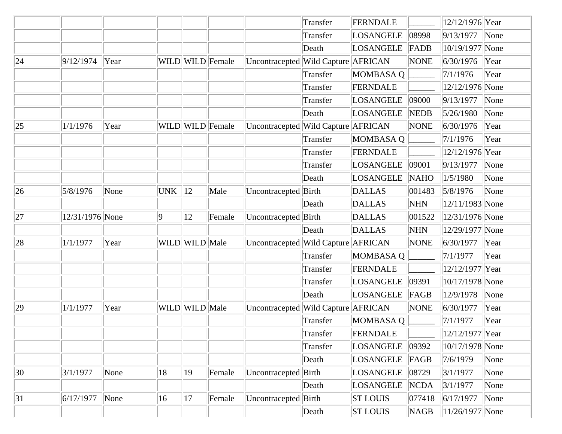|    |                 |      |                |                |                      |                                     | Transfer | FERNDALE         |             | 12/12/1976 Year     |                           |
|----|-----------------|------|----------------|----------------|----------------------|-------------------------------------|----------|------------------|-------------|---------------------|---------------------------|
|    |                 |      |                |                |                      |                                     | Transfer | LOSANGELE        | 08998       | 9/13/1977           | $\sqrt{\frac{1}{2}}$ None |
|    |                 |      |                |                |                      |                                     | Death    | <b>LOSANGELE</b> | FADB        | 10/19/1977 None     |                           |
| 24 | 9/12/1974       | Year |                |                | WILD Female          | Uncontracepted Wild Capture AFRICAN |          |                  | <b>NONE</b> | 6/30/1976           | Year                      |
|    |                 |      |                |                |                      |                                     | Transfer | MOMBASA Q        |             | 7/1/1976            | Year                      |
|    |                 |      |                |                |                      |                                     | Transfer | FERNDALE         |             | 12/12/1976 None     |                           |
|    |                 |      |                |                |                      |                                     | Transfer | LOSANGELE        | 09000       | 9/13/1977           | None                      |
|    |                 |      |                |                |                      |                                     | Death    | LOSANGELE        | NEDB        | 5/26/1980           | None                      |
| 25 | 1/1/1976        | Year |                |                | WILD   WILD   Female | Uncontracepted Wild Capture AFRICAN |          |                  | <b>NONE</b> | 6/30/1976           | Year                      |
|    |                 |      |                |                |                      |                                     | Transfer | MOMBASA Q        |             | 7/1/1976            | Year                      |
|    |                 |      |                |                |                      |                                     | Transfer | FERNDALE         |             | 12/12/1976 Year     |                           |
|    |                 |      |                |                |                      |                                     | Transfer | LOSANGELE        | 09001       | 9/13/1977           | None                      |
|    |                 |      |                |                |                      |                                     | Death    | <b>LOSANGELE</b> | <b>NAHO</b> | 1/5/1980            | None                      |
| 26 | 5/8/1976        | None | UNK $\ 12\ $   |                | Male                 | Uncontracepted Birth                |          | <b>DALLAS</b>    | 001483      | 5/8/1976            | None                      |
|    |                 |      |                |                |                      |                                     | Death    | <b>DALLAS</b>    | <b>NHN</b>  | 12/11/1983 None     |                           |
| 27 | 12/31/1976 None |      | $\overline{9}$ | 12             | Female               | Uncontracepted Birth                |          | DALLAS           | 001522      | 12/31/1976 None     |                           |
|    |                 |      |                |                |                      |                                     | Death    | <b>DALLAS</b>    | <b>NHN</b>  | 12/29/1977 None     |                           |
| 28 | 1/1/1977        | Year |                | WILD WILD Male |                      | Uncontracepted Wild Capture AFRICAN |          |                  | <b>NONE</b> | 6/30/1977           | Year                      |
|    |                 |      |                |                |                      |                                     | Transfer | MOMBASA Q        |             | 7/1/1977            | Year                      |
|    |                 |      |                |                |                      |                                     | Transfer | FERNDALE         |             | 12/12/1977 Year     |                           |
|    |                 |      |                |                |                      |                                     | Transfer | LOSANGELE        | 09391       | 10/17/1978 None     |                           |
|    |                 |      |                |                |                      |                                     | Death    | LOSANGELE        | FAGB        | 12/9/1978           | None                      |
| 29 | 1/1/1977        | Year |                | WILD WILD Male |                      | Uncontracepted Wild Capture AFRICAN |          |                  | <b>NONE</b> | 6/30/1977           | Year                      |
|    |                 |      |                |                |                      |                                     | Transfer | MOMBASAQ         |             | 7/1/1977            | Year                      |
|    |                 |      |                |                |                      |                                     | Transfer | FERNDALE         |             | 12/12/1977 Year     |                           |
|    |                 |      |                |                |                      |                                     | Transfer | <b>LOSANGELE</b> | 09392       | 10/17/1978 None     |                           |
|    |                 |      |                |                |                      |                                     | Death    | <b>LOSANGELE</b> | FAGB        | 7/6/1979            | None                      |
| 30 | 3/1/1977        | None | 18             | $ 19\rangle$   | Female               | Uncontracepted Birth                |          | <b>LOSANGELE</b> | 08729       | 3/1/1977            | None                      |
|    |                 |      |                |                |                      |                                     | Death    | <b>LOSANGELE</b> | <b>NCDA</b> | 3/1/1977            | None                      |
| 31 | 6/17/1977       | None | 16             | 17             | Female               | Uncontracepted Birth                |          | <b>ST LOUIS</b>  | 077418      | 6/17/1977           | None                      |
|    |                 |      |                |                |                      |                                     | Death    | <b>ST LOUIS</b>  | <b>NAGB</b> | $ 11/26/1977 $ None |                           |
|    |                 |      |                |                |                      |                                     |          |                  |             |                     |                           |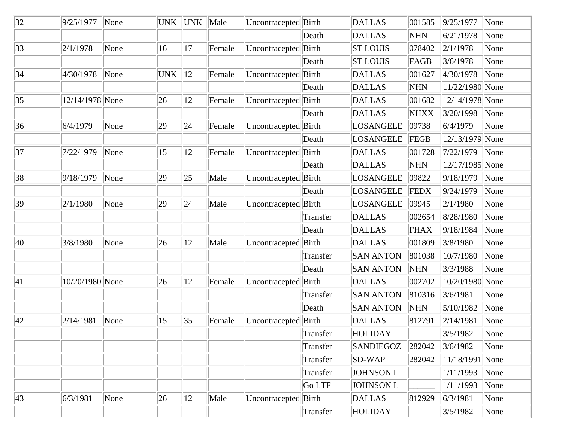| 32           | 9/25/1977       | None | <b>UNK</b> |    | UNK Male | Uncontracepted Birth |          | <b>DALLAS</b>    | 001585      | 9/25/1977       | None |
|--------------|-----------------|------|------------|----|----------|----------------------|----------|------------------|-------------|-----------------|------|
|              |                 |      |            |    |          |                      | Death    | <b>DALLAS</b>    | <b>NHN</b>  | 6/21/1978       | None |
| 33           | 2/1/1978        | None | 16         | 17 | Female   | Uncontracepted Birth |          | <b>ST LOUIS</b>  | 078402      | 2/1/1978        | None |
|              |                 |      |            |    |          |                      | Death    | <b>ST LOUIS</b>  | FAGB        | 3/6/1978        | None |
| 34           | 4/30/1978       | None | <b>UNK</b> | 12 | Female   | Uncontracepted Birth |          | <b>DALLAS</b>    | 001627      | 4/30/1978       | None |
|              |                 |      |            |    |          |                      | Death    | <b>DALLAS</b>    | <b>NHN</b>  | 11/22/1980 None |      |
| 35           | 12/14/1978 None |      | 26         | 12 | Female   | Uncontracepted Birth |          | <b>DALLAS</b>    | 001682      | 12/14/1978 None |      |
|              |                 |      |            |    |          |                      | Death    | <b>DALLAS</b>    | <b>NHXX</b> | 3/20/1998       | None |
| 36           | 6/4/1979        | None | 29         | 24 | Female   | Uncontracepted Birth |          | <b>LOSANGELE</b> | 09738       | 6/4/1979        | None |
|              |                 |      |            |    |          |                      | Death    | <b>LOSANGELE</b> | FEGB        | 12/13/1979 None |      |
| 37           | 7/22/1979       | None | 15         | 12 | Female   | Uncontracepted Birth |          | <b>DALLAS</b>    | 001728      | 7/22/1979       | None |
|              |                 |      |            |    |          |                      | Death    | <b>DALLAS</b>    | <b>NHN</b>  | 12/17/1985 None |      |
| 38           | 9/18/1979       | None | 29         | 25 | Male     | Uncontracepted       | Birth    | <b>LOSANGELE</b> | 09822       | 9/18/1979       | None |
|              |                 |      |            |    |          |                      | Death    | <b>LOSANGELE</b> | <b>FEDX</b> | 9/24/1979       | None |
| 39           | 2/1/1980        | None | 29         | 24 | Male     | Uncontracepted Birth |          | <b>LOSANGELE</b> | 09945       | 2/1/1980        | None |
|              |                 |      |            |    |          |                      | Transfer | <b>DALLAS</b>    | 002654      | 8/28/1980       | None |
|              |                 |      |            |    |          |                      | Death    | <b>DALLAS</b>    | <b>FHAX</b> | 9/18/1984       | None |
| 40           | 3/8/1980        | None | 26         | 12 | Male     | Uncontracepted       | Birth    | <b>DALLAS</b>    | 001809      | 3/8/1980        | None |
|              |                 |      |            |    |          |                      | Transfer | <b>SAN ANTON</b> | 801038      | 10/7/1980       | None |
|              |                 |      |            |    |          |                      | Death    | <b>SAN ANTON</b> | <b>NHN</b>  | 3/3/1988        | None |
| 41           | 10/20/1980 None |      | 26         | 12 | Female   | Uncontracepted Birth |          | <b>DALLAS</b>    | 002702      | 10/20/1980 None |      |
|              |                 |      |            |    |          |                      | Transfer | <b>SAN ANTON</b> | 810316      | 3/6/1981        | None |
|              |                 |      |            |    |          |                      | Death    | <b>SAN ANTON</b> | <b>NHN</b>  | 5/10/1982       | None |
| 42           | 2/14/1981       | None | 15         | 35 | Female   | Uncontracepted Birth |          | <b>DALLAS</b>    | 812791      | 2/14/1981       | None |
|              |                 |      |            |    |          |                      | Transfer | HOLIDAY          |             | 3/5/1982        | None |
|              |                 |      |            |    |          |                      | Transfer | SANDIEGOZ        | 282042      | 3/6/1982        | None |
|              |                 |      |            |    |          |                      | Transfer | $SD-WAP$         | 282042      | 11/18/1991 None |      |
|              |                 |      |            |    |          |                      | Transfer | <b>JOHNSON L</b> |             | 1/11/1993       | None |
|              |                 |      |            |    |          |                      | Go LTF   | <b>JOHNSON L</b> |             | 1/11/1993       | None |
| $ 43\rangle$ | 6/3/1981        | None | 26         | 12 | Male     | Uncontracepted Birth |          | <b>DALLAS</b>    | 812929      | 6/3/1981        | None |
|              |                 |      |            |    |          |                      | Transfer | <b>HOLIDAY</b>   |             | 3/5/1982        | None |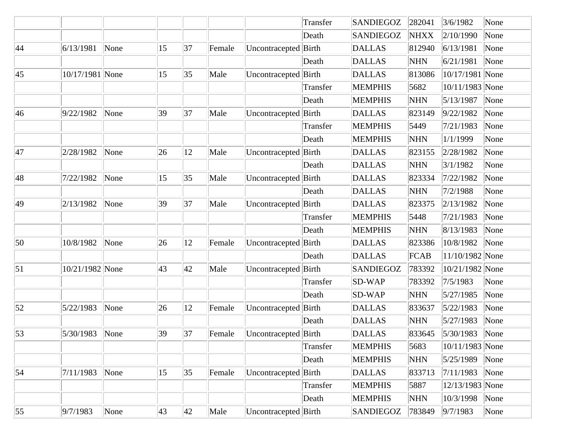|                  |                 |      |    |              |        |                      | Transfer | SANDIEGOZ        | 282041      | 3/6/1982           | None |
|------------------|-----------------|------|----|--------------|--------|----------------------|----------|------------------|-------------|--------------------|------|
|                  |                 |      |    |              |        |                      | Death    | SANDIEGOZ        | <b>NHXX</b> | 2/10/1990          | None |
| 44               | 6/13/1981       | None | 15 | 37           | Female | Uncontracepted Birth |          | <b>DALLAS</b>    | 812940      | 6/13/1981          | None |
|                  |                 |      |    |              |        |                      | Death    | <b>DALLAS</b>    | <b>NHN</b>  | 6/21/1981          | None |
| 45               | 10/17/1981 None |      | 15 | 35           | Male   | Uncontracepted Birth |          | <b>DALLAS</b>    | 813086      | 10/17/1981 None    |      |
|                  |                 |      |    |              |        |                      | Transfer | <b>MEMPHIS</b>   | 5682        | 10/11/1983 None    |      |
|                  |                 |      |    |              |        |                      | Death    | <b>MEMPHIS</b>   | <b>NHN</b>  | 5/13/1987          | None |
| 46               | 9/22/1982       | None | 39 | 37           | Male   | Uncontracepted Birth |          | <b>DALLAS</b>    | 823149      | 9/22/1982          | None |
|                  |                 |      |    |              |        |                      | Transfer | <b>MEMPHIS</b>   | 5449        | 7/21/1983          | None |
|                  |                 |      |    |              |        |                      | Death    | <b>MEMPHIS</b>   | <b>NHN</b>  | 1/1/1999           | None |
| 47               | 2/28/1982       | None | 26 | 12           | Male   | Uncontracepted Birth |          | <b>DALLAS</b>    | 823155      | 2/28/1982          | None |
|                  |                 |      |    |              |        |                      | Death    | <b>DALLAS</b>    | <b>NHN</b>  | 3/1/1982           | None |
| 48               | 7/22/1982       | None | 15 | 35           | Male   | Uncontracepted Birth |          | <b>DALLAS</b>    | 823334      | 7/22/1982          | None |
|                  |                 |      |    |              |        |                      | Death    | <b>DALLAS</b>    | <b>NHN</b>  | 7/2/1988           | None |
| 49               | 2/13/1982       | None | 39 | 37           | Male   | Uncontracepted Birth |          | <b>DALLAS</b>    | 823375      | 2/13/1982          | None |
|                  |                 |      |    |              |        |                      | Transfer | <b>MEMPHIS</b>   | 5448        | 7/21/1983          | None |
|                  |                 |      |    |              |        |                      | Death    | <b>MEMPHIS</b>   | <b>NHN</b>  | 8/13/1983          | None |
| 50               | 10/8/1982       | None | 26 | 12           | Female | Uncontracepted Birth |          | <b>DALLAS</b>    | 823386      | 10/8/1982          | None |
|                  |                 |      |    |              |        |                      | Death    | <b>DALLAS</b>    | FCAB        | 11/10/1982 None    |      |
| $\vert 51 \vert$ | 10/21/1982 None |      | 43 | 42           | Male   | Uncontracepted Birth |          | <b>SANDIEGOZ</b> | 783392      | 10/21/1982 None    |      |
|                  |                 |      |    |              |        |                      | Transfer | $SD-WAP$         | 783392      | 7/5/1983           | None |
|                  |                 |      |    |              |        |                      | Death    | <b>SD-WAP</b>    | <b>NHN</b>  | 5/27/1985          | None |
| 52               | 5/22/1983       | None | 26 | 12           | Female | Uncontracepted Birth |          | <b>DALLAS</b>    | 833637      | 5/22/1983          | None |
|                  |                 |      |    |              |        |                      | Death    | <b>DALLAS</b>    | <b>NHN</b>  | 5/27/1983          | None |
| 53               | 5/30/1983       | None | 39 | 37           | Female | Uncontracepted Birth |          | <b>DALLAS</b>    | 833645      | $ 5/30/1983 $ None |      |
|                  |                 |      |    |              |        |                      | Transfer | <b>MEMPHIS</b>   | 5683        | 10/11/1983 None    |      |
|                  |                 |      |    |              |        |                      | Death    | <b>MEMPHIS</b>   | <b>NHN</b>  | 5/25/1989          | None |
| 54               | 7/11/1983       | None | 15 | 35           | Female | Uncontracepted Birth |          | <b>DALLAS</b>    | 833713      | 7/11/1983          | None |
|                  |                 |      |    |              |        |                      | Transfer | <b>MEMPHIS</b>   | 5887        | 12/13/1983 None    |      |
|                  |                 |      |    |              |        |                      | Death    | <b>MEMPHIS</b>   | <b>NHN</b>  | 10/3/1998          | None |
| 55               | 9/7/1983        | None | 43 | $ 42\rangle$ | Male   | Uncontracepted Birth |          | <b>SANDIEGOZ</b> | 783849      | 9/7/1983           | None |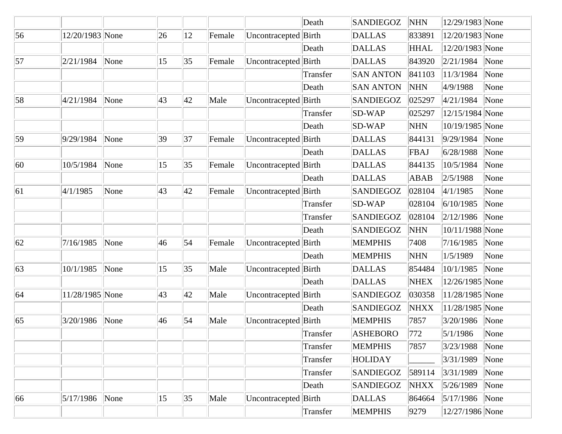|    |                 |      |              |              |        |                      | Death    | <b>SANDIEGOZ</b> | <b>NHN</b>  | 12/29/1983 None    |                           |
|----|-----------------|------|--------------|--------------|--------|----------------------|----------|------------------|-------------|--------------------|---------------------------|
| 56 | 12/20/1983 None |      | 26           | 12           | Female | Uncontracepted       | Birth    | <b>DALLAS</b>    | 833891      | 12/20/1983 None    |                           |
|    |                 |      |              |              |        |                      | Death    | <b>DALLAS</b>    | <b>HHAL</b> | 12/20/1983 None    |                           |
| 57 | 2/21/1984       | None | 15           | 35           | Female | Uncontracepted       | Birth    | <b>DALLAS</b>    | 843920      | 2/21/1984          | None                      |
|    |                 |      |              |              |        |                      | Transfer | <b>SAN ANTON</b> | 841103      | 11/3/1984          | None                      |
|    |                 |      |              |              |        |                      | Death    | <b>SAN ANTON</b> | <b>NHN</b>  | 4/9/1988           | None                      |
| 58 | 4/21/1984       | None | 43           | 42           | Male   | Uncontracepted Birth |          | <b>SANDIEGOZ</b> | 025297      | 4/21/1984          | None                      |
|    |                 |      |              |              |        |                      | Transfer | <b>SD-WAP</b>    | 025297      | 12/15/1984 None    |                           |
|    |                 |      |              |              |        |                      | Death    | SD-WAP           | <b>NHN</b>  | 10/19/1985 None    |                           |
| 59 | 9/29/1984       | None | 39           | 37           | Female | Uncontracepted Birth |          | <b>DALLAS</b>    | 844131      | 9/29/1984          | None                      |
|    |                 |      |              |              |        |                      | Death    | <b>DALLAS</b>    | FBAJ        | 6/28/1988          | None                      |
| 60 | 10/5/1984       | None | 15           | 35           | Female | Uncontracepted Birth |          | <b>DALLAS</b>    | 844135      | 10/5/1984          | None                      |
|    |                 |      |              |              |        |                      | Death    | <b>DALLAS</b>    | ABAB        | 2/5/1988           | None                      |
| 61 | 4/1/1985        | None | 43           | 42           | Female | Uncontracepted Birth |          | <b>SANDIEGOZ</b> | 028104      | 4/1/1985           | None                      |
|    |                 |      |              |              |        |                      | Transfer | <b>SD-WAP</b>    | 028104      | 6/10/1985          | None                      |
|    |                 |      |              |              |        |                      | Transfer | <b>SANDIEGOZ</b> | 028104      | 2/12/1986          | None                      |
|    |                 |      |              |              |        |                      | Death    | <b>SANDIEGOZ</b> | <b>NHN</b>  | 10/11/1988 None    |                           |
| 62 | 7/16/1985       | None | 46           | $\vert$ 54   | Female | Uncontracepted Birth |          | <b>MEMPHIS</b>   | 7408        | 7/16/1985          | None                      |
|    |                 |      |              |              |        |                      | Death    | <b>MEMPHIS</b>   | <b>NHN</b>  | 1/5/1989           | None                      |
| 63 | 10/1/1985       | None | $ 15\rangle$ | 35           | Male   | Uncontracepted Birth |          | <b>DALLAS</b>    | 854484      | 10/1/1985          | None                      |
|    |                 |      |              |              |        |                      | Death    | <b>DALLAS</b>    | <b>NHEX</b> | 12/26/1985 None    |                           |
| 64 | 11/28/1985 None |      | 43           | $ 42\rangle$ | Male   | Uncontracepted       | Birth    | <b>SANDIEGOZ</b> | 030358      | 11/28/1985 None    |                           |
|    |                 |      |              |              |        |                      | Death    | <b>SANDIEGOZ</b> | <b>NHXX</b> | 11/28/1985 None    |                           |
| 65 | 3/20/1986       | None | 46           | 54           | Male   | Uncontracepted       | Birth    | <b>MEMPHIS</b>   | 7857        | 3/20/1986          | None                      |
|    |                 |      |              |              |        |                      | Transfer | <b>ASHEBORO</b>  | 772         | 5/1/1986           | $\sqrt{\frac{1}{2}}$ None |
|    |                 |      |              |              |        |                      | Transfer | <b>MEMPHIS</b>   | 7857        | 3/23/1988          | None                      |
|    |                 |      |              |              |        |                      | Transfer | <b>HOLIDAY</b>   |             | 3/31/1989          | None                      |
|    |                 |      |              |              |        |                      | Transfer | <b>SANDIEGOZ</b> | 589114      | 3/31/1989          | None                      |
|    |                 |      |              |              |        |                      | Death    | <b>SANDIEGOZ</b> | <b>NHXX</b> | 5/26/1989          | None                      |
| 66 | 5/17/1986       | None | $ 15\rangle$ | 35           | Male   | Uncontracepted Birth |          | <b>DALLAS</b>    | 864664      | $ 5/17/1986 $ None |                           |
|    |                 |      |              |              |        |                      | Transfer | <b>MEMPHIS</b>   | 9279        | 12/27/1986 None    |                           |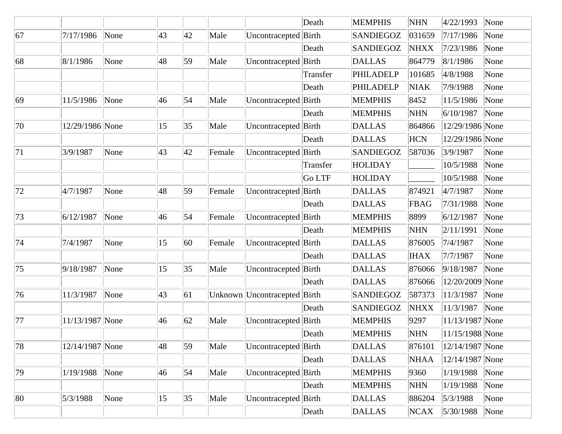|    |                 |      |    |              |        |                        | Death    | <b>MEMPHIS</b>   | <b>NHN</b>  | 4/22/1993       | None |
|----|-----------------|------|----|--------------|--------|------------------------|----------|------------------|-------------|-----------------|------|
| 67 | 7/17/1986       | None | 43 | 42           | Male   | Uncontracepted         | Birth    | <b>SANDIEGOZ</b> | 031659      | 7/17/1986       | None |
|    |                 |      |    |              |        |                        | Death    | SANDIEGOZ        | <b>NHXX</b> | 7/23/1986       | None |
| 68 | 8/1/1986        | None | 48 | 59           | Male   | Uncontracepted         | Birth    | <b>DALLAS</b>    | 864779      | 8/1/1986        | None |
|    |                 |      |    |              |        |                        | Transfer | PHILADELP        | 101685      | 4/8/1988        | None |
|    |                 |      |    |              |        |                        | Death    | PHILADELP        | <b>NIAK</b> | 7/9/1988        | None |
| 69 | 11/5/1986       | None | 46 | 54           | Male   | Uncontracepted Birth   |          | <b>MEMPHIS</b>   | 8452        | 11/5/1986       | None |
|    |                 |      |    |              |        |                        | Death    | <b>MEMPHIS</b>   | <b>NHN</b>  | 6/10/1987       | None |
| 70 | 12/29/1986 None |      | 15 | $ 35\rangle$ | Male   | Uncontracepted Birth   |          | <b>DALLAS</b>    | 864866      | 12/29/1986 None |      |
|    |                 |      |    |              |        |                        | Death    | <b>DALLAS</b>    | <b>HCN</b>  | 12/29/1986 None |      |
| 71 | 3/9/1987        | None | 43 | $ 42\rangle$ | Female | Uncontracepted Birth   |          | SANDIEGOZ        | 587036      | 3/9/1987        | None |
|    |                 |      |    |              |        |                        | Transfer | <b>HOLIDAY</b>   |             | 10/5/1988       | None |
|    |                 |      |    |              |        |                        | Go LTF   | <b>HOLIDAY</b>   |             | 10/5/1988       | None |
| 72 | 4/7/1987        | None | 48 | 59           | Female | Uncontracepted Birth   |          | <b>DALLAS</b>    | 874921      | 4/7/1987        | None |
|    |                 |      |    |              |        |                        | Death    | <b>DALLAS</b>    | FBAG        | 7/31/1988       | None |
| 73 | 6/12/1987       | None | 46 | $\vert$ 54   | Female | Uncontracepted Birth   |          | <b>MEMPHIS</b>   | 8899        | 6/12/1987       | None |
|    |                 |      |    |              |        |                        | Death    | <b>MEMPHIS</b>   | <b>NHN</b>  | 2/11/1991       | None |
| 74 | 7/4/1987        | None | 15 | 60           | Female | Uncontracepted Birth   |          | <b>DALLAS</b>    | 876005      | 7/4/1987        | None |
|    |                 |      |    |              |        |                        | Death    | <b>DALLAS</b>    | <b>IHAX</b> | 7/7/1987        | None |
| 75 | 9/18/1987       | None | 15 | 35           | Male   | Uncontracepted Birth   |          | <b>DALLAS</b>    | 876066      | 9/18/1987       | None |
|    |                 |      |    |              |        |                        | Death    | <b>DALLAS</b>    | 876066      | 12/20/2009 None |      |
| 76 | 11/3/1987       | None | 43 | 61           |        | Unknown Uncontracepted | Birth    | SANDIEGOZ        | 587373      | 11/3/1987       | None |
|    |                 |      |    |              |        |                        | Death    | <b>SANDIEGOZ</b> | <b>NHXX</b> | 11/3/1987       | None |
| 77 | 11/13/1987 None |      | 46 | 62           | Male   | Uncontracepted         | Birth    | <b>MEMPHIS</b>   | 9297        | 11/13/1987 None |      |
|    |                 |      |    |              |        |                        | Death    | <b>MEMPHIS</b>   | <b>NHN</b>  | 11/15/1988 None |      |
| 78 | 12/14/1987 None |      | 48 | 59           | Male   | Uncontracepted Birth   |          | <b>DALLAS</b>    | 876101      | 12/14/1987 None |      |
|    |                 |      |    |              |        |                        | Death    | <b>DALLAS</b>    | <b>NHAA</b> | 12/14/1987 None |      |
| 79 | 1/19/1988       | None | 46 | 54           | Male   | Uncontracepted Birth   |          | <b>MEMPHIS</b>   | 9360        | 1/19/1988       | None |
|    |                 |      |    |              |        |                        | Death    | <b>MEMPHIS</b>   | <b>NHN</b>  | 1/19/1988       | None |
| 80 | 5/3/1988        | None | 15 | 35           | Male   | Uncontracepted Birth   |          | <b>DALLAS</b>    | 886204      | 5/3/1988        | None |
|    |                 |      |    |              |        |                        | Death    | <b>DALLAS</b>    | NCAX        | 5/30/1988       | None |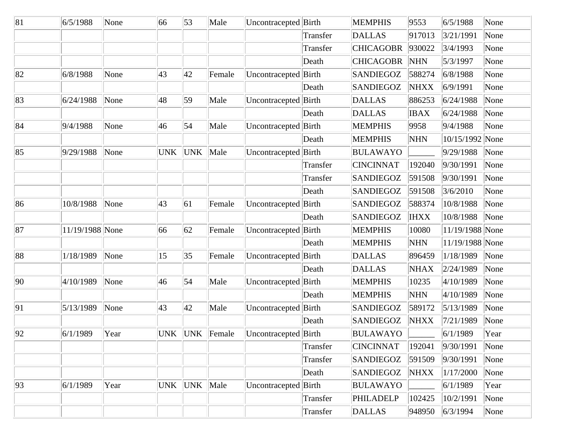| 81 | 6/5/1988        | None | 66         | 53           | Male           | Uncontracepted Birth |          | <b>MEMPHIS</b>   | 9553        | 6/5/1988        | None |
|----|-----------------|------|------------|--------------|----------------|----------------------|----------|------------------|-------------|-----------------|------|
|    |                 |      |            |              |                |                      | Transfer | <b>DALLAS</b>    | 917013      | 3/21/1991       | None |
|    |                 |      |            |              |                |                      | Transfer | <b>CHICAGOBR</b> | 930022      | 3/4/1993        | None |
|    |                 |      |            |              |                |                      | Death    | <b>CHICAGOBR</b> | <b>NHN</b>  | 5/3/1997        | None |
| 82 | 6/8/1988        | None | 43         | 42           | Female         | Uncontracepted Birth |          | <b>SANDIEGOZ</b> | 588274      | 6/8/1988        | None |
|    |                 |      |            |              |                |                      | Death    | <b>SANDIEGOZ</b> | <b>NHXX</b> | 6/9/1991        | None |
| 83 | 6/24/1988       | None | 48         | $ 59\rangle$ | Male           | Uncontracepted Birth |          | <b>DALLAS</b>    | 886253      | 6/24/1988       | None |
|    |                 |      |            |              |                |                      | Death    | <b>DALLAS</b>    | <b>IBAX</b> | 6/24/1988       | None |
| 84 | 9/4/1988        | None | 46         | $\vert$ 54   | Male           | Uncontracepted Birth |          | <b>MEMPHIS</b>   | 9958        | 9/4/1988        | None |
|    |                 |      |            |              |                |                      | Death    | <b>MEMPHIS</b>   | <b>NHN</b>  | 10/15/1992 None |      |
| 85 | 9/29/1988       | None | <b>UNK</b> | UNK          | Male           | Uncontracepted Birth |          | <b>BULAWAYO</b>  |             | 9/29/1988       | None |
|    |                 |      |            |              |                |                      | Transfer | <b>CINCINNAT</b> | 192040      | 9/30/1991       | None |
|    |                 |      |            |              |                |                      | Transfer | SANDIEGOZ        | 591508      | 9/30/1991       | None |
|    |                 |      |            |              |                |                      | Death    | <b>SANDIEGOZ</b> | 591508      | 3/6/2010        | None |
| 86 | 10/8/1988       | None | 43         | 61           | Female         | Uncontracepted       | Birth    | <b>SANDIEGOZ</b> | 588374      | 10/8/1988       | None |
|    |                 |      |            |              |                |                      | Death    | <b>SANDIEGOZ</b> | <b>IHXX</b> | 10/8/1988       | None |
| 87 | 11/19/1988 None |      | 66         | 62           | Female         | Uncontracepted       | Birth    | <b>MEMPHIS</b>   | 10080       | 11/19/1988 None |      |
|    |                 |      |            |              |                |                      | Death    | <b>MEMPHIS</b>   | <b>NHN</b>  | 11/19/1988 None |      |
| 88 | 1/18/1989       | None | 15         | 35           | Female         | Uncontracepted       | Birth    | <b>DALLAS</b>    | 896459      | 1/18/1989       | None |
|    |                 |      |            |              |                |                      | Death    | <b>DALLAS</b>    | <b>NHAX</b> | 2/24/1989       | None |
| 90 | 4/10/1989       | None | 46         | 54           | Male           | Uncontracepted       | Birth    | <b>MEMPHIS</b>   | 10235       | 4/10/1989       | None |
|    |                 |      |            |              |                |                      | Death    | <b>MEMPHIS</b>   | <b>NHN</b>  | 4/10/1989       | None |
| 91 | 5/13/1989       | None | 43         | 42           | Male           | Uncontracepted Birth |          | <b>SANDIEGOZ</b> | 589172      | 5/13/1989       | None |
|    |                 |      |            |              |                |                      | Death    | <b>SANDIEGOZ</b> | <b>NHXX</b> | 7/21/1989       | None |
| 92 | 6/1/1989        | Year |            |              | UNK UNK Female | Uncontracepted Birth |          | <b>BULAWAYO</b>  |             | 6/1/1989        | Year |
|    |                 |      |            |              |                |                      | Transfer | <b>CINCINNAT</b> | 192041      | 9/30/1991       | None |
|    |                 |      |            |              |                |                      | Transfer | SANDIEGOZ        | 591509      | 9/30/1991       | None |
|    |                 |      |            |              |                |                      | Death    | SANDIEGOZ        | <b>NHXX</b> | 1/17/2000       | None |
| 93 | 6/1/1989        | Year | <b>UNK</b> | UNK Male     |                | Uncontracepted Birth |          | <b>BULAWAYO</b>  |             | 6/1/1989        | Year |
|    |                 |      |            |              |                |                      | Transfer | PHILADELP        | 102425      | 10/2/1991       | None |
|    |                 |      |            |              |                |                      | Transfer | DALLAS           | 948950      | 6/3/1994        | None |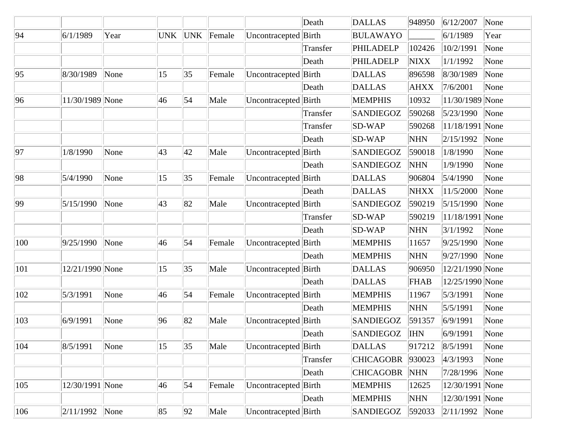|     |                 |      |            |            |        |                      | Death    | <b>DALLAS</b>    | 948950      | 6/12/2007          | None |
|-----|-----------------|------|------------|------------|--------|----------------------|----------|------------------|-------------|--------------------|------|
| 94  | 6/1/1989        | Year | <b>UNK</b> | <b>UNK</b> | Female | Uncontracepted       | Birth    | <b>BULAWAYO</b>  |             | 6/1/1989           | Year |
|     |                 |      |            |            |        |                      | Transfer | PHILADELP        | 102426      | 10/2/1991          | None |
|     |                 |      |            |            |        |                      | Death    | <b>PHILADELP</b> | <b>NIXX</b> | 1/1/1992           | None |
| 95  | 8/30/1989       | None | 15         | 35         | Female | Uncontracepted       | Birth    | <b>DALLAS</b>    | 896598      | 8/30/1989          | None |
|     |                 |      |            |            |        |                      | Death    | <b>DALLAS</b>    | <b>AHXX</b> | 7/6/2001           | None |
| 96  | 11/30/1989 None |      | 46         | 54         | Male   | Uncontracepted Birth |          | <b>MEMPHIS</b>   | 10932       | 11/30/1989 None    |      |
|     |                 |      |            |            |        |                      | Transfer | <b>SANDIEGOZ</b> | 590268      | 5/23/1990          | None |
|     |                 |      |            |            |        |                      | Transfer | $SD-WAP$         | 590268      | 11/18/1991 None    |      |
|     |                 |      |            |            |        |                      | Death    | SD-WAP           | <b>NHN</b>  | 2/15/1992          | None |
| 97  | 1/8/1990        | None | 43         | 42         | Male   | Uncontracepted Birth |          | <b>SANDIEGOZ</b> | 590018      | 1/8/1990           | None |
|     |                 |      |            |            |        |                      | Death    | <b>SANDIEGOZ</b> | <b>NHN</b>  | 1/9/1990           | None |
| 98  | 5/4/1990        | None | 15         | 35         | Female | Uncontracepted Birth |          | <b>DALLAS</b>    | 906804      | 5/4/1990           | None |
|     |                 |      |            |            |        |                      | Death    | <b>DALLAS</b>    | <b>NHXX</b> | 11/5/2000          | None |
| 99  | 5/15/1990       | None | 43         | 82         | Male   | Uncontracepted Birth |          | <b>SANDIEGOZ</b> | 590219      | 5/15/1990          | None |
|     |                 |      |            |            |        |                      | Transfer | $SD-WAP$         | 590219      | 11/18/1991 None    |      |
|     |                 |      |            |            |        |                      | Death    | <b>SD-WAP</b>    | <b>NHN</b>  | 3/1/1992           | None |
| 100 | 9/25/1990       | None | 46         | $\vert$ 54 | Female | Uncontracepted       | Birth    | <b>MEMPHIS</b>   | 11657       | 9/25/1990          | None |
|     |                 |      |            |            |        |                      | Death    | <b>MEMPHIS</b>   | <b>NHN</b>  | 9/27/1990          | None |
| 101 | 12/21/1990 None |      | 15         | 35         | Male   | Uncontracepted       | Birth    | <b>DALLAS</b>    | 906950      | 12/21/1990 None    |      |
|     |                 |      |            |            |        |                      | Death    | <b>DALLAS</b>    | FHAB        | 12/25/1990 None    |      |
| 102 | 5/3/1991        | None | 46         | 54         | Female | Uncontracepted       | Birth    | <b>MEMPHIS</b>   | 11967       | 5/3/1991           | None |
|     |                 |      |            |            |        |                      | Death    | <b>MEMPHIS</b>   | <b>NHN</b>  | 5/5/1991           | None |
| 103 | 6/9/1991        | None | 96         | 82         | Male   | Uncontracepted       | Birth    | <b>SANDIEGOZ</b> | 591357      | 6/9/1991           | None |
|     |                 |      |            |            |        |                      | Death    | <b>SANDIEGOZ</b> | <b>IHN</b>  | 6/9/1991           | None |
| 104 | 8/5/1991        | None | 15         | 35         | Male   | Uncontracepted Birth |          | <b>DALLAS</b>    | 917212      | 8/5/1991           | None |
|     |                 |      |            |            |        |                      | Transfer | <b>CHICAGOBR</b> | 930023      | 4/3/1993           | None |
|     |                 |      |            |            |        |                      | Death    | <b>CHICAGOBR</b> | <b>NHN</b>  | 7/28/1996          | None |
| 105 | 12/30/1991 None |      | 46         | $\vert$ 54 | Female | Uncontracepted Birth |          | <b>MEMPHIS</b>   | 12625       | 12/30/1991 None    |      |
|     |                 |      |            |            |        |                      | Death    | <b>MEMPHIS</b>   | <b>NHN</b>  | 12/30/1991 None    |      |
| 106 | 2/11/1992       | None | 85         | 92         | Male   | Uncontracepted Birth |          | <b>SANDIEGOZ</b> | 592033      | $ 2/11/1992 $ None |      |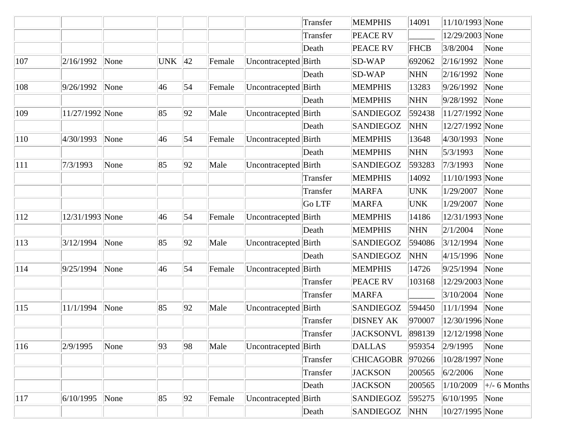|     |                 |      |            |              |        |                      | Transfer | <b>MEMPHIS</b>   | 14091       | 11/10/1993 None        |                             |
|-----|-----------------|------|------------|--------------|--------|----------------------|----------|------------------|-------------|------------------------|-----------------------------|
|     |                 |      |            |              |        |                      | Transfer | <b>PEACE RV</b>  |             | 12/29/2003 None        |                             |
|     |                 |      |            |              |        |                      | Death    | <b>PEACE RV</b>  | <b>FHCB</b> | 3/8/2004               | None                        |
| 107 | 2/16/1992       | None | <b>UNK</b> | $ 42\rangle$ | Female | Uncontracepted       | Birth    | <b>SD-WAP</b>    | 692062      | 2/16/1992              | None                        |
|     |                 |      |            |              |        |                      | Death    | SD-WAP           | <b>NHN</b>  | 2/16/1992              | None                        |
| 108 | 9/26/1992       | None | 46         | 54           | Female | Uncontracepted Birth |          | <b>MEMPHIS</b>   | 13283       | 9/26/1992              | None                        |
|     |                 |      |            |              |        |                      | Death    | <b>MEMPHIS</b>   | <b>NHN</b>  | 9/28/1992              | None                        |
| 109 | 11/27/1992 None |      | 85         | 92           | Male   | Uncontracepted Birth |          | <b>SANDIEGOZ</b> | 592438      | 11/27/1992 None        |                             |
|     |                 |      |            |              |        |                      | Death    | <b>SANDIEGOZ</b> | <b>NHN</b>  | 12/27/1992 None        |                             |
| 110 | 4/30/1993       | None | 46         | 54           | Female | Uncontracepted Birth |          | <b>MEMPHIS</b>   | 13648       | 4/30/1993              | None                        |
|     |                 |      |            |              |        |                      | Death    | <b>MEMPHIS</b>   | <b>NHN</b>  | 5/3/1993               | None                        |
| 111 | 7/3/1993        | None | 85         | 92           | Male   | Uncontracepted Birth |          | <b>SANDIEGOZ</b> | 593283      | 7/3/1993               | None                        |
|     |                 |      |            |              |        |                      | Transfer | <b>MEMPHIS</b>   | 14092       | 11/10/1993 None        |                             |
|     |                 |      |            |              |        |                      | Transfer | <b>MARFA</b>     | UNK         | 1/29/2007              | None                        |
|     |                 |      |            |              |        |                      | Go LTF   | <b>MARFA</b>     | <b>UNK</b>  | 1/29/2007              | None                        |
| 112 | 12/31/1993 None |      | 46         | 54           | Female | Uncontracepted Birth |          | <b>MEMPHIS</b>   | 14186       | 12/31/1993 None        |                             |
|     |                 |      |            |              |        |                      | Death    | <b>MEMPHIS</b>   | <b>NHN</b>  | 2/1/2004               | None                        |
| 113 | 3/12/1994       | None | 85         | 92           | Male   | Uncontracepted Birth |          | <b>SANDIEGOZ</b> | 594086      | 3/12/1994              | None                        |
|     |                 |      |            |              |        |                      | Death    | <b>SANDIEGOZ</b> | <b>NHN</b>  | 4/15/1996              | None                        |
| 114 | 9/25/1994       | None | 46         | 54           | Female | Uncontracepted Birth |          | <b>MEMPHIS</b>   | 14726       | 9/25/1994              | None                        |
|     |                 |      |            |              |        |                      | Transfer | <b>PEACE RV</b>  | 103168      | 12/29/2003 None        |                             |
|     |                 |      |            |              |        |                      | Transfer | <b>MARFA</b>     |             | 3/10/2004              | None                        |
| 115 | 11/1/1994       | None | 85         | 92           | Male   | Uncontracepted Birth |          | <b>SANDIEGOZ</b> | 594450      | 11/1/1994              | None                        |
|     |                 |      |            |              |        |                      | Transfer | <b>DISNEY AK</b> | 970007      | 12/30/1996 None        |                             |
|     |                 |      |            |              |        |                      | Transfer | JACKSONVL        | 898139      | $\ 12/12/1998\ None\ $ |                             |
| 116 | 2/9/1995        | None | 93         | 98           | Male   | Uncontracepted Birth |          | <b>DALLAS</b>    | 959354      | 2/9/1995               | None                        |
|     |                 |      |            |              |        |                      | Transfer | <b>CHICAGOBR</b> | 970266      | 10/28/1997 None        |                             |
|     |                 |      |            |              |        |                      | Transfer | <b>JACKSON</b>   | 200565      | 6/2/2006               | None                        |
|     |                 |      |            |              |        |                      | Death    | <b>JACKSON</b>   | 200565      | 1/10/2009              | $\left  + \right $ 6 Months |
| 117 | 6/10/1995       | None | 85         | 92           | Female | Uncontracepted Birth |          | <b>SANDIEGOZ</b> | 595275      | 6/10/1995              | None                        |
|     |                 |      |            |              |        |                      | Death    | SANDIEGOZ        | <b>NHN</b>  | 10/27/1995 None        |                             |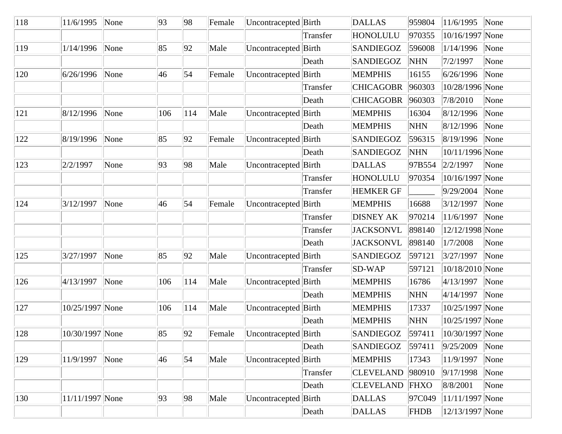| 118 | 11/6/1995       | None | 93  | 98         | Female | Uncontracepted Birth |          | <b>DALLAS</b>    | 959804      | 11/6/1995           | None |
|-----|-----------------|------|-----|------------|--------|----------------------|----------|------------------|-------------|---------------------|------|
|     |                 |      |     |            |        |                      | Transfer | <b>HONOLULU</b>  | 970355      | 10/16/1997 None     |      |
| 119 | 1/14/1996       | None | 85  | 92         | Male   | Uncontracepted Birth |          | <b>SANDIEGOZ</b> | 596008      | 1/14/1996           | None |
|     |                 |      |     |            |        |                      | Death    | <b>SANDIEGOZ</b> | <b>NHN</b>  | 7/2/1997            | None |
| 120 | 6/26/1996       | None | 46  | 54         | Female | Uncontracepted Birth |          | <b>MEMPHIS</b>   | 16155       | 6/26/1996           | None |
|     |                 |      |     |            |        |                      | Transfer | <b>CHICAGOBR</b> | 960303      | 10/28/1996 None     |      |
|     |                 |      |     |            |        |                      | Death    | <b>CHICAGOBR</b> | 960303      | 7/8/2010            | None |
| 121 | 8/12/1996       | None | 106 | 114        | Male   | Uncontracepted Birth |          | <b>MEMPHIS</b>   | 16304       | 8/12/1996           | None |
|     |                 |      |     |            |        |                      | Death    | <b>MEMPHIS</b>   | <b>NHN</b>  | 8/12/1996           | None |
| 122 | 8/19/1996       | None | 85  | 92         | Female | Uncontracepted Birth |          | <b>SANDIEGOZ</b> | 596315      | 8/19/1996           | None |
|     |                 |      |     |            |        |                      | Death    | <b>SANDIEGOZ</b> | <b>NHN</b>  | 10/11/1996 None     |      |
| 123 | 2/2/1997        | None | 93  | 98         | Male   | Uncontracepted Birth |          | <b>DALLAS</b>    | 97B554      | 2/2/1997            | None |
|     |                 |      |     |            |        |                      | Transfer | <b>HONOLULU</b>  | 970354      | 10/16/1997 None     |      |
|     |                 |      |     |            |        |                      | Transfer | <b>HEMKER GF</b> |             | 9/29/2004           | None |
| 124 | 3/12/1997       | None | 46  | $\vert$ 54 | Female | Uncontracepted Birth |          | <b>MEMPHIS</b>   | 16688       | 3/12/1997           | None |
|     |                 |      |     |            |        |                      | Transfer | <b>DISNEY AK</b> | 970214      | 11/6/1997           | None |
|     |                 |      |     |            |        |                      | Transfer | <b>JACKSONVL</b> | 898140      | 12/12/1998 None     |      |
|     |                 |      |     |            |        |                      | Death    | <b>JACKSONVL</b> | 898140      | 1/7/2008            | None |
| 125 | 3/27/1997       | None | 85  | 92         | Male   | Uncontracepted Birth |          | <b>SANDIEGOZ</b> | 597121      | 3/27/1997           | None |
|     |                 |      |     |            |        |                      | Transfer | $SD-WAP$         | 597121      | 10/18/2010 None     |      |
| 126 | 4/13/1997       | None | 106 | 114        | Male   | Uncontracepted Birth |          | <b>MEMPHIS</b>   | 16786       | 4/13/1997           | None |
|     |                 |      |     |            |        |                      | Death    | <b>MEMPHIS</b>   | <b>NHN</b>  | 4/14/1997           | None |
| 127 | 10/25/1997 None |      | 106 | 114        | Male   | Uncontracepted       | Birth    | <b>MEMPHIS</b>   | 17337       | 10/25/1997 None     |      |
|     |                 |      |     |            |        |                      | Death    | <b>MEMPHIS</b>   | <b>NHN</b>  | 10/25/1997 None     |      |
| 128 | 10/30/1997 None |      | 85  | 92         | Female | Uncontracepted Birth |          | <b>SANDIEGOZ</b> | 597411      | $ 10/30/1997 $ None |      |
|     |                 |      |     |            |        |                      | Death    | <b>SANDIEGOZ</b> | 597411      | 9/25/2009           | None |
| 129 | 11/9/1997       | None | 46  | 54         | Male   | Uncontracepted Birth |          | <b>MEMPHIS</b>   | 17343       | 11/9/1997           | None |
|     |                 |      |     |            |        |                      | Transfer | <b>CLEVELAND</b> | 980910      | 9/17/1998           | None |
|     |                 |      |     |            |        |                      | Death    | <b>CLEVELAND</b> | FHXO        | 8/8/2001            | None |
| 130 | 11/11/1997 None |      | 93  | 98         | Male   | Uncontracepted Birth |          | <b>DALLAS</b>    | 97C049      | $ 11/11/1997 $ None |      |
|     |                 |      |     |            |        |                      | Death    | <b>DALLAS</b>    | <b>FHDB</b> | 12/13/1997 None     |      |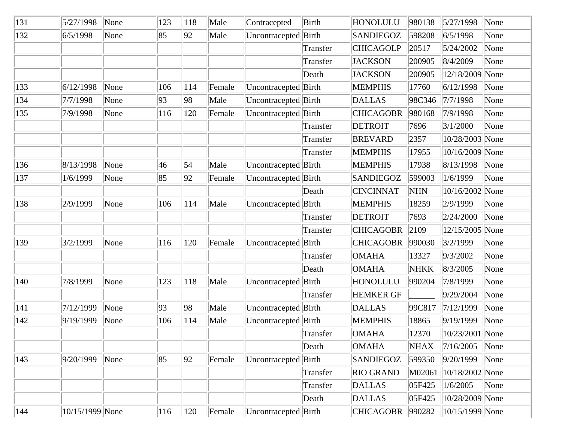| 131           | 5/27/1998       | None | 123 | 118        | Male   | Contracepted         | Birth    | HONOLULU         | 980138      | 5/27/1998           | None |
|---------------|-----------------|------|-----|------------|--------|----------------------|----------|------------------|-------------|---------------------|------|
| 132           | 6/5/1998        | None | 85  | 92         | Male   | Uncontracepted       | Birth    | <b>SANDIEGOZ</b> | 598208      | 6/5/1998            | None |
|               |                 |      |     |            |        |                      | Transfer | <b>CHICAGOLP</b> | 20517       | 5/24/2002           | None |
|               |                 |      |     |            |        |                      | Transfer | <b>JACKSON</b>   | 200905      | 8/4/2009            | None |
|               |                 |      |     |            |        |                      | Death    | <b>JACKSON</b>   | 200905      | 12/18/2009 None     |      |
| 133           | 6/12/1998       | None | 106 | 114        | Female | Uncontracepted Birth |          | <b>MEMPHIS</b>   | 17760       | 6/12/1998           | None |
| 134           | 7/7/1998        | None | 93  | 98         | Male   | Uncontracepted Birth |          | <b>DALLAS</b>    | 98C346      | 7/7/1998            | None |
| 135           | 7/9/1998        | None | 116 | 120        | Female | Uncontracepted Birth |          | <b>CHICAGOBR</b> | 980168      | 7/9/1998            | None |
|               |                 |      |     |            |        |                      | Transfer | <b>DETROIT</b>   | 7696        | 3/1/2000            | None |
|               |                 |      |     |            |        |                      | Transfer | <b>BREVARD</b>   | 2357        | 10/28/2003 None     |      |
|               |                 |      |     |            |        |                      | Transfer | <b>MEMPHIS</b>   | 17955       | 10/16/2009 None     |      |
| 136           | 8/13/1998       | None | 46  | $\vert$ 54 | Male   | Uncontracepted Birth |          | <b>MEMPHIS</b>   | 17938       | 8/13/1998           | None |
| 137           | 1/6/1999        | None | 85  | 92         | Female | Uncontracepted Birth |          | <b>SANDIEGOZ</b> | 599003      | 1/6/1999            | None |
|               |                 |      |     |            |        |                      | Death    | <b>CINCINNAT</b> | <b>NHN</b>  | 10/16/2002 None     |      |
| 138           | 2/9/1999        | None | 106 | 114        | Male   | Uncontracepted Birth |          | <b>MEMPHIS</b>   | 18259       | 2/9/1999            | None |
|               |                 |      |     |            |        |                      | Transfer | <b>DETROIT</b>   | 7693        | 2/24/2000           | None |
|               |                 |      |     |            |        |                      | Transfer | <b>CHICAGOBR</b> | 2109        | 12/15/2005 None     |      |
| 139           | 3/2/1999        | None | 116 | 120        | Female | Uncontracepted Birth |          | <b>CHICAGOBR</b> | 990030      | 3/2/1999            | None |
|               |                 |      |     |            |        |                      | Transfer | <b>OMAHA</b>     | 13327       | 9/3/2002            | None |
|               |                 |      |     |            |        |                      | Death    | <b>OMAHA</b>     | <b>NHKK</b> | 8/3/2005            | None |
| 140           | 7/8/1999        | None | 123 | 118        | Male   | Uncontracepted       | Birth    | HONOLULU         | 990204      | 7/8/1999            | None |
|               |                 |      |     |            |        |                      | Transfer | <b>HEMKER GF</b> |             | 9/29/2004           | None |
| 141           | 7/12/1999       | None | 93  | 98         | Male   | Uncontracepted Birth |          | <b>DALLAS</b>    | 99C817      | 7/12/1999           | None |
| 142           | 9/19/1999       | None | 106 | 114        | Male   | Uncontracepted       | Birth    | <b>MEMPHIS</b>   | 18865       | 9/19/1999           | None |
|               |                 |      |     |            |        |                      | Transfer | <b>OMAHA</b>     | 12370       | 10/23/2001 None     |      |
|               |                 |      |     |            |        |                      | Death    | <b>OMAHA</b>     | <b>NHAX</b> | 7/16/2005           | None |
| $ 143\rangle$ | 9/20/1999       | None | 85  | 92         | Female | Uncontracepted Birth |          | <b>SANDIEGOZ</b> | 599350      | 9/20/1999           | None |
|               |                 |      |     |            |        |                      | Transfer | <b>RIO GRAND</b> | M02061      | $ 10/18/2002 $ None |      |
|               |                 |      |     |            |        |                      | Transfer | DALLAS           | 05F425      | 1/6/2005            | None |
|               |                 |      |     |            |        |                      | Death    | <b>DALLAS</b>    | 05F425      | 10/28/2009 None     |      |
| 144           | 10/15/1999 None |      | 116 | 120        | Female | Uncontracepted Birth |          | <b>CHICAGOBR</b> | 990282      | 10/15/1999 None     |      |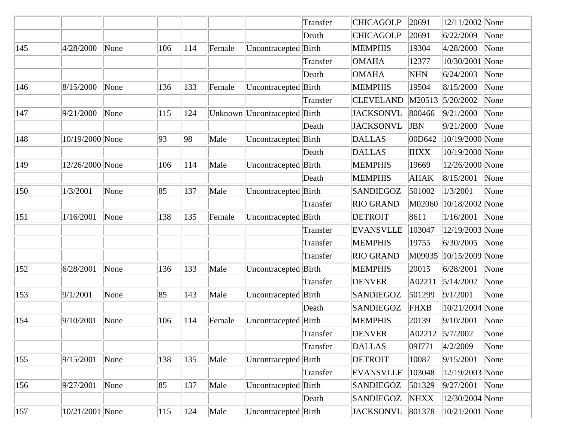|               |                     |      |     |     |        |                              | Transfer | <b>CHICAGOLP</b> | 20691       | 12/11/2002 None |      |
|---------------|---------------------|------|-----|-----|--------|------------------------------|----------|------------------|-------------|-----------------|------|
|               |                     |      |     |     |        |                              | Death    | <b>CHICAGOLP</b> | 20691       | 6/22/2009       | None |
| 145           | 4/28/2000           | None | 106 | 114 | Female | Uncontracepted Birth         |          | <b>MEMPHIS</b>   | 19304       | 4/28/2000       | None |
|               |                     |      |     |     |        |                              | Transfer | <b>OMAHA</b>     | 12377       | 10/30/2001 None |      |
|               |                     |      |     |     |        |                              | Death    | <b>OMAHA</b>     | <b>NHN</b>  | 6/24/2003       | None |
| 146           | 8/15/2000           | None | 136 | 133 | Female | Uncontracepted Birth         |          | <b>MEMPHIS</b>   | 19504       | 8/15/2000       | None |
|               |                     |      |     |     |        |                              | Transfer | <b>CLEVELAND</b> | M20513      | 5/20/2002       | None |
| 147           | 9/21/2000           | None | 115 | 124 |        | Unknown Uncontracepted Birth |          | <b>JACKSONVL</b> | 800466      | 9/21/2000       | None |
|               |                     |      |     |     |        |                              | Death    | <b>JACKSONVL</b> | <b>JBN</b>  | 9/21/2000       | None |
| 148           | 10/19/2000 None     |      | 93  | 98  | Male   | Uncontracepted Birth         |          | <b>DALLAS</b>    | 00D642      | 10/19/2000 None |      |
|               |                     |      |     |     |        |                              | Death    | <b>DALLAS</b>    | <b>IHXX</b> | 10/19/2000 None |      |
| 149           | 12/26/2000 None     |      | 106 | 114 | Male   | Uncontracepted Birth         |          | <b>MEMPHIS</b>   | 19669       | 12/26/2000 None |      |
|               |                     |      |     |     |        |                              | Death    | <b>MEMPHIS</b>   | <b>AHAK</b> | 8/15/2001       | None |
| 150           | 1/3/2001            | None | 85  | 137 | Male   | Uncontracepted Birth         |          | <b>SANDIEGOZ</b> | 501002      | 1/3/2001        | None |
|               |                     |      |     |     |        |                              | Transfer | <b>RIO GRAND</b> | M02060      | 10/18/2002 None |      |
| 151           | 1/16/2001           | None | 138 | 135 | Female | Uncontracepted Birth         |          | <b>DETROIT</b>   | 8611        | 1/16/2001       | None |
|               |                     |      |     |     |        |                              | Transfer | <b>EVANSVLLE</b> | 103047      | 12/19/2003 None |      |
|               |                     |      |     |     |        |                              | Transfer | <b>MEMPHIS</b>   | 19755       | 6/30/2005       | None |
|               |                     |      |     |     |        |                              | Transfer | <b>RIO GRAND</b> | M09035      | 10/15/2009 None |      |
| 152           | 6/28/2001           | None | 136 | 133 | Male   | Uncontracepted Birth         |          | <b>MEMPHIS</b>   | 20015       | 6/28/2001       | None |
|               |                     |      |     |     |        |                              | Transfer | <b>DENVER</b>    | A02211      | 5/14/2002       | None |
| 153           | 9/1/2001            | None | 85  | 143 | Male   | Uncontracepted               | Birth    | <b>SANDIEGOZ</b> | 501299      | 9/1/2001        | None |
|               |                     |      |     |     |        |                              | Death    | <b>SANDIEGOZ</b> | FHXB        | 10/21/2004 None |      |
| 154           | 9/10/2001           | None | 106 | 114 | Female | Uncontracepted               | Birth    | <b>MEMPHIS</b>   | 20139       | 9/10/2001       | None |
|               |                     |      |     |     |        |                              | Transfer | <b>DENVER</b>    |             | A02212 5/7/2002 | None |
|               |                     |      |     |     |        |                              | Transfer | <b>DALLAS</b>    | 09J771      | 4/2/2009        | None |
| $ 155\rangle$ | 9/15/2001           | None | 138 | 135 | Male   | Uncontracepted Birth         |          | <b>DETROIT</b>   | 10087       | 9/15/2001       | None |
|               |                     |      |     |     |        |                              | Transfer | <b>EVANSVLLE</b> | 103048      | 12/19/2003 None |      |
| 156           | 9/27/2001           | None | 85  | 137 | Male   | Uncontracepted Birth         |          | SANDIEGOZ        | 501329      | 9/27/2001       | None |
|               |                     |      |     |     |        |                              | Death    | <b>SANDIEGOZ</b> | <b>NHXX</b> | 12/30/2004 None |      |
| 157           | $ 10/21/2001 $ None |      | 115 | 124 | Male   | Uncontracepted Birth         |          | <b>JACKSONVL</b> | 801378      | 10/21/2001 None |      |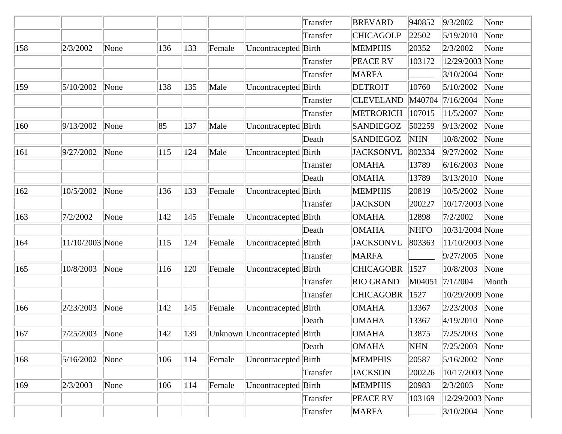|     |                  |      |     |     |        |                              | Transfer | <b>BREVARD</b>   | 940852      | 9/3/2002        | None  |
|-----|------------------|------|-----|-----|--------|------------------------------|----------|------------------|-------------|-----------------|-------|
|     |                  |      |     |     |        |                              | Transfer | <b>CHICAGOLP</b> | 22502       | 5/19/2010       | None  |
| 158 | 2/3/2002         | None | 136 | 133 | Female | Uncontracepted Birth         |          | <b>MEMPHIS</b>   | 20352       | 2/3/2002        | None  |
|     |                  |      |     |     |        |                              | Transfer | <b>PEACE RV</b>  | 103172      | 12/29/2003 None |       |
|     |                  |      |     |     |        |                              | Transfer | <b>MARFA</b>     |             | 3/10/2004       | None  |
| 159 | 5/10/2002        | None | 138 | 135 | Male   | Uncontracepted Birth         |          | <b>DETROIT</b>   | 10760       | 5/10/2002       | None  |
|     |                  |      |     |     |        |                              | Transfer | <b>CLEVELAND</b> | M40704      | 7/16/2004       | None  |
|     |                  |      |     |     |        |                              | Transfer | <b>METRORICH</b> | 107015      | 11/5/2007       | None  |
| 160 | 9/13/2002        | None | 85  | 137 | Male   | Uncontracepted Birth         |          | <b>SANDIEGOZ</b> | 502259      | 9/13/2002       | None  |
|     |                  |      |     |     |        |                              | Death    | <b>SANDIEGOZ</b> | <b>NHN</b>  | 10/8/2002       | None  |
| 161 | 9/27/2002        | None | 115 | 124 | Male   | Uncontracepted Birth         |          | <b>JACKSONVL</b> | 802334      | 9/27/2002       | None  |
|     |                  |      |     |     |        |                              | Transfer | <b>OMAHA</b>     | 13789       | 6/16/2003       | None  |
|     |                  |      |     |     |        |                              | Death    | <b>OMAHA</b>     | 13789       | 3/13/2010       | None  |
| 162 | 10/5/2002        | None | 136 | 133 | Female | Uncontracepted Birth         |          | <b>MEMPHIS</b>   | 20819       | 10/5/2002       | None  |
|     |                  |      |     |     |        |                              | Transfer | <b>JACKSON</b>   | 200227      | 10/17/2003 None |       |
| 163 | 7/2/2002         | None | 142 | 145 | Female | Uncontracepted Birth         |          | <b>OMAHA</b>     | 12898       | 7/2/2002        | None  |
|     |                  |      |     |     |        |                              | Death    | <b>OMAHA</b>     | <b>NHFO</b> | 10/31/2004 None |       |
| 164 | 11/10/2003 None  |      | 115 | 124 | Female | Uncontracepted Birth         |          | <b>JACKSONVL</b> | 803363      | 11/10/2003 None |       |
|     |                  |      |     |     |        |                              | Transfer | <b>MARFA</b>     |             | 9/27/2005       | None  |
| 165 | 10/8/2003        | None | 116 | 120 | Female | Uncontracepted               | Birth    | <b>CHICAGOBR</b> | 1527        | 10/8/2003       | None  |
|     |                  |      |     |     |        |                              | Transfer | <b>RIO GRAND</b> | M04051      | 7/1/2004        | Month |
|     |                  |      |     |     |        |                              | Transfer | <b>CHICAGOBR</b> | 1527        | 10/29/2009 None |       |
| 166 | 2/23/2003        | None | 142 | 145 | Female | Uncontracepted Birth         |          | <b>OMAHA</b>     | 13367       | 2/23/2003       | None  |
|     |                  |      |     |     |        |                              | Death    | <b>OMAHA</b>     | 13367       | 4/19/2010       | None  |
| 167 | $7/25/2003$ None |      | 142 | 139 |        | Unknown Uncontracepted Birth |          | <b>OMAHA</b>     | 13875       | 7/25/2003 None  |       |
|     |                  |      |     |     |        |                              | Death    | <b>OMAHA</b>     | <b>NHN</b>  | 7/25/2003       | None  |
| 168 | 5/16/2002        | None | 106 | 114 | Female | Uncontracepted Birth         |          | <b>MEMPHIS</b>   | 20587       | 5/16/2002       | None  |
|     |                  |      |     |     |        |                              | Transfer | <b>JACKSON</b>   | 200226      | 10/17/2003 None |       |
| 169 | 2/3/2003         | None | 106 | 114 | Female | Uncontracepted Birth         |          | <b>MEMPHIS</b>   | 20983       | 2/3/2003        | None  |
|     |                  |      |     |     |        |                              | Transfer | <b>PEACE RV</b>  | 103169      | 12/29/2003 None |       |
|     |                  |      |     |     |        |                              | Transfer | <b>MARFA</b>     |             | 3/10/2004 None  |       |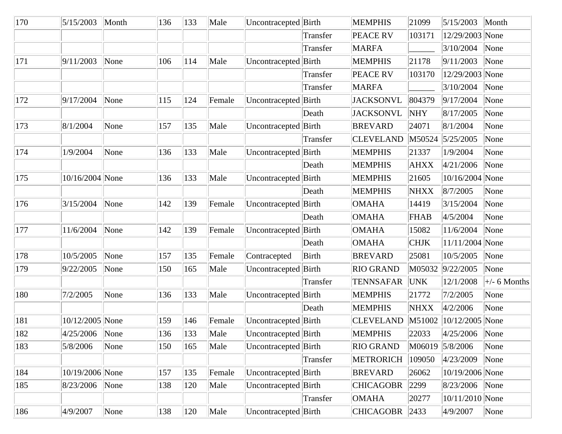| 170 | 5/15/2003       | Month | 136 | 133 | Male   | Uncontracepted Birth |              | <b>MEMPHIS</b>   | 21099       | 5/15/2003           | Month                     |
|-----|-----------------|-------|-----|-----|--------|----------------------|--------------|------------------|-------------|---------------------|---------------------------|
|     |                 |       |     |     |        |                      | Transfer     | <b>PEACE RV</b>  | 103171      | 12/29/2003 None     |                           |
|     |                 |       |     |     |        |                      | Transfer     | <b>MARFA</b>     |             | 3/10/2004           | None                      |
| 171 | 9/11/2003       | None  | 106 | 114 | Male   | Uncontracepted Birth |              | <b>MEMPHIS</b>   | 21178       | 9/11/2003           | None                      |
|     |                 |       |     |     |        |                      | Transfer     | PEACE RV         | 103170      | 12/29/2003 None     |                           |
|     |                 |       |     |     |        |                      | Transfer     | <b>MARFA</b>     |             | 3/10/2004           | None                      |
| 172 | 9/17/2004       | None  | 115 | 124 | Female | Uncontracepted Birth |              | <b>JACKSONVL</b> | 804379      | 9/17/2004           | None                      |
|     |                 |       |     |     |        |                      | Death        | <b>JACKSONVL</b> | <b>NHY</b>  | 8/17/2005           | None                      |
| 173 | 8/1/2004        | None  | 157 | 135 | Male   | Uncontracepted Birth |              | <b>BREVARD</b>   | 24071       | 8/1/2004            | None                      |
|     |                 |       |     |     |        |                      | Transfer     | <b>CLEVELAND</b> | M50524      | 5/25/2005           | None                      |
| 174 | 1/9/2004        | None  | 136 | 133 | Male   | Uncontracepted Birth |              | <b>MEMPHIS</b>   | 21337       | 1/9/2004            | None                      |
|     |                 |       |     |     |        |                      | Death        | <b>MEMPHIS</b>   | AHXX        | 4/21/2006           | None                      |
| 175 | 10/16/2004 None |       | 136 | 133 | Male   | Uncontracepted Birth |              | <b>MEMPHIS</b>   | 21605       | 10/16/2004 None     |                           |
|     |                 |       |     |     |        |                      | Death        | <b>MEMPHIS</b>   | <b>NHXX</b> | 8/7/2005            | None                      |
| 176 | 3/15/2004       | None  | 142 | 139 | Female | Uncontracepted Birth |              | <b>OMAHA</b>     | 14419       | 3/15/2004           | None                      |
|     |                 |       |     |     |        |                      | Death        | <b>OMAHA</b>     | <b>FHAB</b> | 4/5/2004            | None                      |
| 177 | 11/6/2004       | None  | 142 | 139 | Female | Uncontracepted       | Birth        | <b>OMAHA</b>     | 15082       | 11/6/2004           | None                      |
|     |                 |       |     |     |        |                      | Death        | <b>OMAHA</b>     | <b>CHJK</b> | 11/11/2004 None     |                           |
| 178 | 10/5/2005       | None  | 157 | 135 | Female | Contracepted         | <b>Birth</b> | <b>BREVARD</b>   | 25081       | 10/5/2005           | None                      |
| 179 | 9/22/2005       | None  | 150 | 165 | Male   | Uncontracepted Birth |              | <b>RIO GRAND</b> | M05032      | 9/22/2005           | None                      |
|     |                 |       |     |     |        |                      | Transfer     | <b>TENNSAFAR</b> | <b>UNK</b>  | 12/1/2008           | $\left +\right.$ 6 Months |
| 180 | 7/2/2005        | None  | 136 | 133 | Male   | Uncontracepted Birth |              | <b>MEMPHIS</b>   | 21772       | 7/2/2005            | None                      |
|     |                 |       |     |     |        |                      | Death        | <b>MEMPHIS</b>   | <b>NHXX</b> | 4/2/2006            | None                      |
| 181 | 10/12/2005 None |       | 159 | 146 | Female | Uncontracepted Birth |              | <b>CLEVELAND</b> | M51002      | $ 10/12/2005 $ None |                           |
| 182 | 4/25/2006 None  |       | 136 | 133 | Male   | Uncontracepted Birth |              | <b>MEMPHIS</b>   | 22033       | $ 4/25/2006 $ None  |                           |
| 183 | 5/8/2006        | None  | 150 | 165 | Male   | Uncontracepted Birth |              | <b>RIO GRAND</b> |             | M06019 5/8/2006     | None                      |
|     |                 |       |     |     |        |                      | Transfer     | <b>METRORICH</b> | 109050      | 4/23/2009           | None                      |
| 184 | 10/19/2006 None |       | 157 | 135 | Female | Uncontracepted Birth |              | <b>BREVARD</b>   | 26062       | 10/19/2006 None     |                           |
| 185 | 8/23/2006       | None  | 138 | 120 | Male   | Uncontracepted Birth |              | <b>CHICAGOBR</b> | 2299        | 8/23/2006 None      |                           |
|     |                 |       |     |     |        |                      | Transfer     | <b>OMAHA</b>     | 20277       | 10/11/2010 None     |                           |
| 186 | 4/9/2007        | None  | 138 | 120 | Male   | Uncontracepted Birth |              | <b>CHICAGOBR</b> | 2433        | 4/9/2007            | None                      |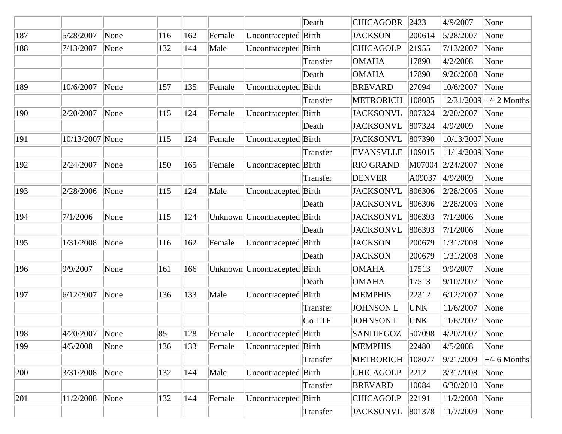|     |                 |      |     |     |        |                              | Death         | <b>CHICAGOBR</b> | 2433   | 4/9/2007        | None                      |
|-----|-----------------|------|-----|-----|--------|------------------------------|---------------|------------------|--------|-----------------|---------------------------|
| 187 | 5/28/2007       | None | 116 | 162 | Female | Uncontracepted Birth         |               | <b>JACKSON</b>   | 200614 | 5/28/2007       | None                      |
| 188 | 7/13/2007       | None | 132 | 144 | Male   | Uncontracepted Birth         |               | <b>CHICAGOLP</b> | 21955  | 7/13/2007       | None                      |
|     |                 |      |     |     |        |                              | Transfer      | <b>OMAHA</b>     | 17890  | 4/2/2008        | None                      |
|     |                 |      |     |     |        |                              | Death         | <b>OMAHA</b>     | 17890  | 9/26/2008       | None                      |
| 189 | 10/6/2007       | None | 157 | 135 | Female | Uncontracepted Birth         |               | <b>BREVARD</b>   | 27094  | 10/6/2007       | None                      |
|     |                 |      |     |     |        |                              | Transfer      | <b>METRORICH</b> | 108085 |                 | $12/31/2009$ +/- 2 Months |
| 190 | 2/20/2007       | None | 115 | 124 | Female | Uncontracepted Birth         |               | <b>JACKSONVL</b> | 807324 | 2/20/2007       | None                      |
|     |                 |      |     |     |        |                              | Death         | <b>JACKSONVL</b> | 807324 | 4/9/2009        | None                      |
| 191 | 10/13/2007 None |      | 115 | 124 | Female | Uncontracepted Birth         |               | <b>JACKSONVL</b> | 807390 | 10/13/2007 None |                           |
|     |                 |      |     |     |        |                              | Transfer      | <b>EVANSVLLE</b> | 109015 | 11/14/2009 None |                           |
| 192 | 2/24/2007       | None | 150 | 165 | Female | Uncontracepted Birth         |               | <b>RIO GRAND</b> | M07004 | 2/24/2007       | None                      |
|     |                 |      |     |     |        |                              | Transfer      | <b>DENVER</b>    | A09037 | 4/9/2009        | None                      |
| 193 | 2/28/2006       | None | 115 | 124 | Male   | Uncontracepted Birth         |               | <b>JACKSONVL</b> | 806306 | 2/28/2006       | None                      |
|     |                 |      |     |     |        |                              | Death         | <b>JACKSONVL</b> | 806306 | 2/28/2006       | None                      |
| 194 | 7/1/2006        | None | 115 | 124 |        | Unknown Uncontracepted Birth |               | <b>JACKSONVL</b> | 806393 | 7/1/2006        | None                      |
|     |                 |      |     |     |        |                              | Death         | <b>JACKSONVL</b> | 806393 | 7/1/2006        | None                      |
| 195 | 1/31/2008       | None | 116 | 162 | Female | Uncontracepted Birth         |               | <b>JACKSON</b>   | 200679 | 1/31/2008       | None                      |
|     |                 |      |     |     |        |                              | Death         | <b>JACKSON</b>   | 200679 | 1/31/2008       | None                      |
| 196 | 9/9/2007        | None | 161 | 166 |        | Unknown Uncontracepted Birth |               | <b>OMAHA</b>     | 17513  | 9/9/2007        | None                      |
|     |                 |      |     |     |        |                              | Death         | <b>OMAHA</b>     | 17513  | 9/10/2007       | None                      |
| 197 | 6/12/2007       | None | 136 | 133 | Male   | Uncontracepted Birth         |               | <b>MEMPHIS</b>   | 22312  | 6/12/2007       | None                      |
|     |                 |      |     |     |        |                              | Transfer      | <b>JOHNSON L</b> | UNK    | 11/6/2007       | None                      |
|     |                 |      |     |     |        |                              | <b>Go LTF</b> | <b>JOHNSON L</b> | UNK    | 11/6/2007       | None                      |
| 198 | 4/20/2007       | None | 85  | 128 | Female | Uncontracepted Birth         |               | SANDIEGOZ        | 507098 | 4/20/2007       | None                      |
| 199 | 4/5/2008        | None | 136 | 133 | Female | Uncontracepted Birth         |               | <b>MEMPHIS</b>   | 22480  | 4/5/2008        | None                      |
|     |                 |      |     |     |        |                              | Transfer      | <b>METRORICH</b> | 108077 | 9/21/2009       | $\pm$ /- 6 Months         |
| 200 | 3/31/2008       | None | 132 | 144 | Male   | Uncontracepted Birth         |               | <b>CHICAGOLP</b> | 2212   | 3/31/2008       | None                      |
|     |                 |      |     |     |        |                              | Transfer      | <b>BREVARD</b>   | 10084  | 6/30/2010       | None                      |
| 201 | 11/2/2008       | None | 132 | 144 | Female | Uncontracepted Birth         |               | <b>CHICAGOLP</b> | 22191  | 11/2/2008       | None                      |
|     |                 |      |     |     |        |                              | Transfer      | <b>JACKSONVL</b> | 801378 | 11/7/2009       | None                      |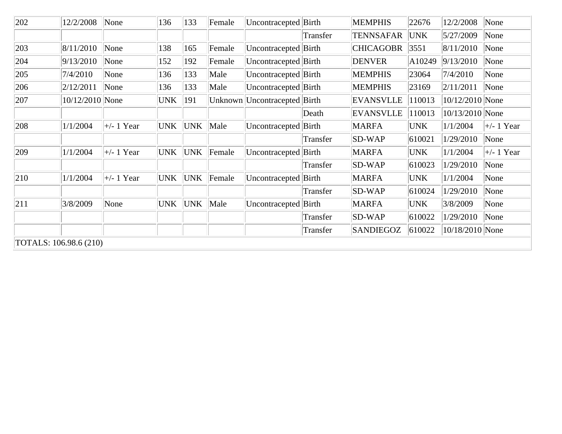| 202                    | 12/2/2008       | None                      | 136        | 133        | Female | Uncontracepted Birth           |          | <b>MEMPHIS</b>   | 22676      | 12/2/2008       | None                      |
|------------------------|-----------------|---------------------------|------------|------------|--------|--------------------------------|----------|------------------|------------|-----------------|---------------------------|
|                        |                 |                           |            |            |        |                                | Transfer | <b>TENNSAFAR</b> | <b>UNK</b> | 5/27/2009       | None                      |
| 203                    | 8/11/2010       | None                      | 138        | 165        | Female | Uncontracepted Birth           |          | <b>CHICAGOBR</b> | 3551       | 8/11/2010       | None                      |
| 204                    | 9/13/2010       | None                      | 152        | 192        | Female | Uncontracepted Birth           |          | <b>DENVER</b>    | A10249     | 9/13/2010       | None                      |
| 205                    | 7/4/2010        | None                      | 136        | 133        | Male   | Uncontracepted Birth           |          | <b>MEMPHIS</b>   | 23064      | 7/4/2010        | None                      |
| 206                    | 2/12/2011       | None                      | 136        | 133        | Male   | Uncontracepted Birth           |          | <b>MEMPHIS</b>   | 23169      | 2/11/2011       | None                      |
| 207                    | 10/12/2010 None |                           | <b>UNK</b> | 191        |        | Unknown  Uncontracepted  Birth |          | <b>EVANSVLLE</b> | 110013     | 10/12/2010 None |                           |
|                        |                 |                           |            |            |        |                                | Death    | <b>EVANSVLLE</b> | 110013     | 10/13/2010 None |                           |
| 208                    | 1/1/2004        | $\left +\right. - 1$ Year | <b>UNK</b> | <b>UNK</b> | Male   | Uncontracepted Birth           |          | <b>MARFA</b>     | <b>UNK</b> | 1/1/2004        | $\left +\right. - 1$ Year |
|                        |                 |                           |            |            |        |                                | Transfer | <b>SD-WAP</b>    | 610021     | 1/29/2010       | None                      |
| 209                    | 1/1/2004        | $\left +\right. - 1$ Year | UNK        | UNK        | Female | Uncontracepted Birth           |          | <b>MARFA</b>     | <b>UNK</b> | 1/1/2004        | $\left +\right. - 1$ Year |
|                        |                 |                           |            |            |        |                                | Transfer | <b>SD-WAP</b>    | 610023     | 1/29/2010       | None                      |
| 210                    | 1/1/2004        | $\left +\right.$ 1 Year   | UNK)       | UNK        | Female | Uncontracepted Birth           |          | <b>MARFA</b>     | <b>UNK</b> | 1/1/2004        | None                      |
|                        |                 |                           |            |            |        |                                | Transfer | <b>SD-WAP</b>    | 610024     | 1/29/2010       | None                      |
| 211                    | 3/8/2009        | None                      | <b>UNK</b> | <b>UNK</b> | Male   | Uncontracepted Birth           |          | <b>MARFA</b>     | <b>UNK</b> | 3/8/2009        | None                      |
|                        |                 |                           |            |            |        |                                | Transfer | SD-WAP           | 610022     | 1/29/2010       | None                      |
|                        |                 |                           |            |            |        |                                | Transfer | <b>SANDIEGOZ</b> | 610022     | 10/18/2010 None |                           |
| TOTALS: 106.98.6 (210) |                 |                           |            |            |        |                                |          |                  |            |                 |                           |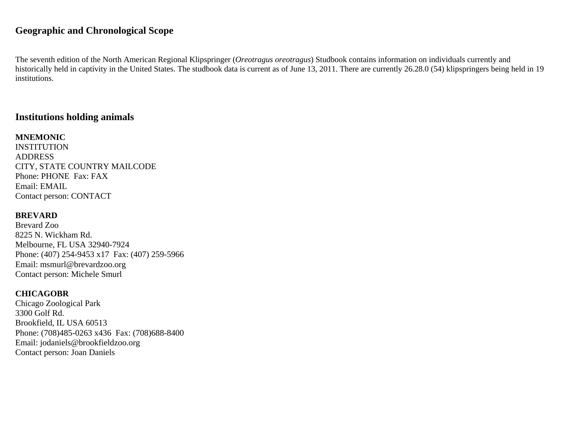# **Geographic and Chronological Scope**

The seventh edition of the North American Regional Klipspringer (*Oreotragus oreotragus*) Studbook contains information on individuals currently and historically held in captivity in the United States. The studbook data is current as of June 13, 2011. There are currently 26.28.0 (54) klipspringers being held in 19 institutions.

# **Institutions holding animals**

**MNEMONIC INSTITUTION** ADDRESS CITY, STATE COUNTRY MAILCODE Phone: PHONE Fax: FAX Email: EMAIL Contact person: CONTACT

#### **BREVARD**

Brevard Zoo 8225 N. Wickham Rd. Melbourne, FL USA 32940-7924 Phone: (407) 254-9453 x17 Fax: (407) 259-5966 Email: msmurl@brevardzoo.org Contact person: Michele Smurl

#### **CHICAGOBR**

Chicago Zoological Park 3300 Golf Rd. Brookfield, IL USA 60513 Phone: (708)485-0263 x436 Fax: (708)688-8400 Email: jodaniels@brookfieldzoo.org Contact person: Joan Daniels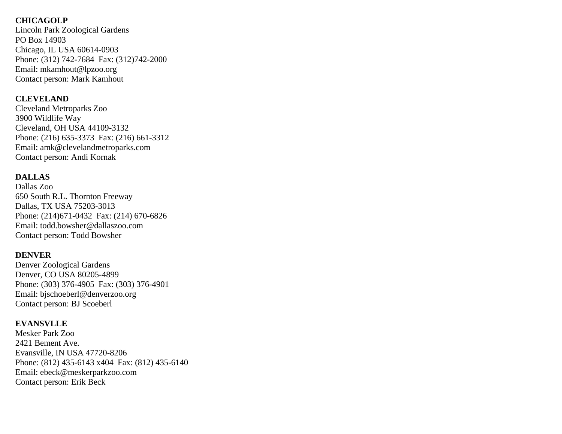#### **CHICAGOLP**

Lincoln Park Zoological Gardens PO Box 14903 Chicago, IL USA 60614-0903 Phone: (312) 742-7684 Fax: (312)742-2000 Email: mkamhout@lpzoo.org Contact person: Mark Kamhout

#### **CLEVELAND**

Cleveland Metroparks Zoo 3900 Wildlife Way Cleveland, OH USA 44109-3132 Phone: (216) 635-3373 Fax: (216) 661-3312 Email: amk@clevelandmetroparks.com Contact person: Andi Kornak

## **DALLAS**

Dallas Zoo 650 South R.L. Thornton Freeway Dallas, TX USA 75203-3013 Phone: (214)671-0432 Fax: (214) 670-6826 Email: todd.bowsher@dallaszoo.com Contact person: Todd Bowsher

## **DENVER**

Denver Zoological Gardens Denver, CO USA 80205-4899 Phone: (303) 376-4905 Fax: (303) 376-4901 Email: bjschoeberl@denverzoo.org Contact person: BJ Scoeberl

## **EVANSVLLE**

Mesker Park Zoo 2421 Bement Ave. Evansville, IN USA 47720-8206 Phone: (812) 435-6143 x404 Fax: (812) 435-6140 Email: ebeck@meskerparkzoo.com Contact person: Erik Beck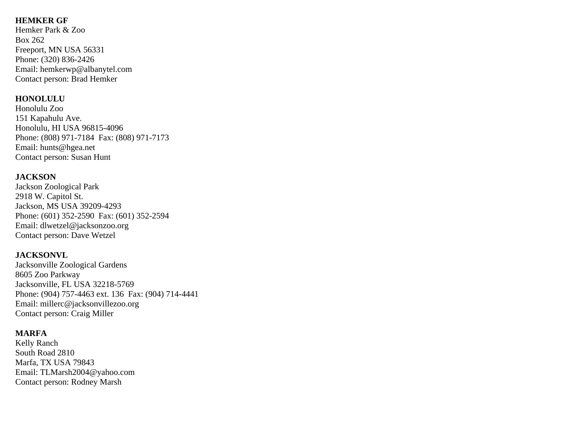## **HEMKER GF**

Hemker Park & Zoo Box 262 Freeport, MN USA 56331 Phone: (320) 836-2426 Email: hemkerwp@albanytel.com Contact person: Brad Hemker

## **HONOLULU**

Honolulu Zoo 151 Kapahulu Ave. Honolulu, HI USA 96815-4096 Phone: (808) 971-7184 Fax: (808) 971-7173 Email: hunts@hgea.net Contact person: Susan Hunt

## **JACKSON**

Jackson Zoological Park 2918 W. Capitol St. Jackson, MS USA 39209-4293 Phone: (601) 352-2590 Fax: (601) 352-2594 Email: dlwetzel@jacksonzoo.org Contact person: Dave Wetzel

## **JACKSONVL**

Jacksonville Zoological Gardens 8605 Zoo Parkway Jacksonville, FL USA 32218-5769 Phone: (904) 757-4463 ext. 136 Fax: (904) 714-4441 Email: millerc@jacksonvillezoo.org Contact person: Craig Miller

#### **MARFA**

Kelly Ranch South Road 2810 Marfa, TX USA 79843 Email: TLMarsh2004@yahoo.com Contact person: Rodney Marsh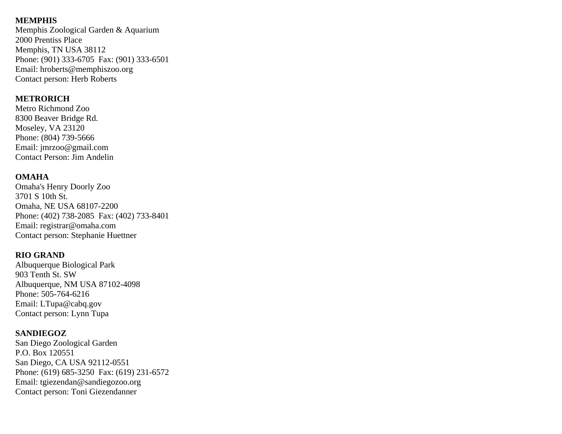#### **MEMPHIS**

Memphis Zoological Garden & Aquarium 2000 Prentiss Place Memphis, TN USA 38112 Phone: (901) 333-6705 Fax: (901) 333-6501 Email: hroberts@memphiszoo.org Contact person: Herb Roberts

#### **METRORICH**

Metro Richmond Zoo 8300 Beaver Bridge Rd. Moseley, VA 23120 Phone: (804) 739-5666 Email: jmrzoo@gmail.com Contact Person: Jim Andelin

## **OMAHA**

Omaha's Henry Doorly Zoo 3701 S 10th St. Omaha, NE USA 68107-2200 Phone: (402) 738-2085 Fax: (402) 733-8401 Email: registrar@omaha.com Contact person: Stephanie Huettner

## **RIO GRAND**

Albuquerque Biological Park 903 Tenth St. SW Albuquerque, NM USA 87102-4098 Phone: 505-764-6216 Email: LTupa@cabq.gov Contact person: Lynn Tupa

#### **SANDIEGOZ**

San Diego Zoological Garden P.O. Box 120551 San Diego, CA USA 92112-0551 Phone: (619) 685-3250 Fax: (619) 231-6572 Email: tgiezendan@sandiegozoo.org Contact person: Toni Giezendanner